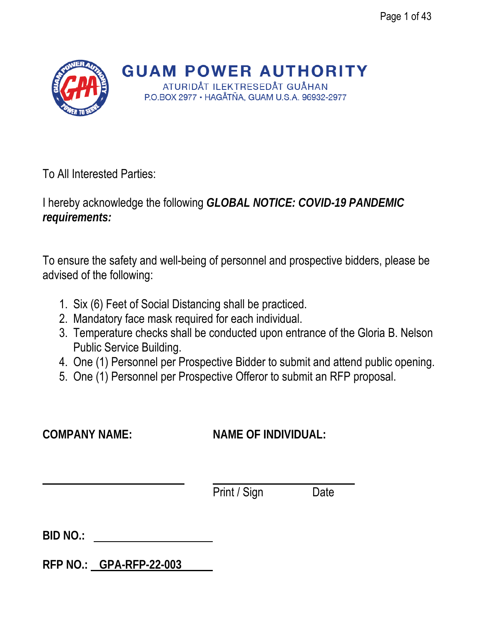

**GUAM POWER AUTHORITY** ATURIDÅT ILEKTRESEDÅT GUÅHAN P.O.BOX 2977 · HAGÅTÑA, GUAM U.S.A. 96932-2977

To All Interested Parties:

I hereby acknowledge the following *GLOBAL NOTICE: COVID-19 PANDEMIC requirements:*

To ensure the safety and well-being of personnel and prospective bidders, please be advised of the following:

- 1. Six (6) Feet of Social Distancing shall be practiced.
- 2. Mandatory face mask required for each individual.
- 3. Temperature checks shall be conducted upon entrance of the Gloria B. Nelson Public Service Building.
- 4. One (1) Personnel per Prospective Bidder to submit and attend public opening.
- 5. One (1) Personnel per Prospective Offeror to submit an RFP proposal.

# **COMPANY NAME: NAME OF INDIVIDUAL:**

Print / Sign Date

**BID NO.:** 

**RFP NO.: GPA-RFP-22-003**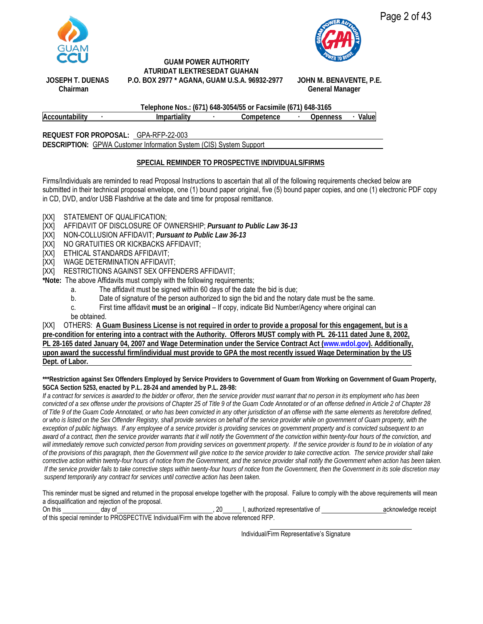

 **GUAM POWER AUTHORITY ATURIDAT ILEKTRESEDAT GUAHAN JOSEPH T. DUENAS P.O. BOX 2977 \* AGANA, GUAM U.S.A. 96932-2977 JOHN M. BENAVENTE, P.E.**



# **Chairman General Manager**

**Telephone Nos.: (671) 648-3054/55 or Facsimile (671) 648-3165 Accountability ∙ Impartiality ∙ Competence ∙ Openness ∙ Value**

**REQUEST FOR PROPOSAL:** GPA-RFP-22-003 **DESCRIPTION:** GPWA Customer Information System (CIS) System Support

#### **SPECIAL REMINDER TO PROSPECTIVE INDIVIDUALS/FIRMS**

Firms/Individuals are reminded to read Proposal Instructions to ascertain that all of the following requirements checked below are submitted in their technical proposal envelope, one (1) bound paper original, five (5) bound paper copies, and one (1) electronic PDF copy in CD, DVD, and/or USB Flashdrive at the date and time for proposal remittance.

- [XX] STATEMENT OF QUALIFICATION;
- [XX] AFFIDAVIT OF DISCLOSURE OF OWNERSHIP; *Pursuant to Public Law 36-13*
- [XX] NON-COLLUSION AFFIDAVIT; *Pursuant to Public Law 36-13*
- [XX] NO GRATUITIES OR KICKBACKS AFFIDAVIT;
- [XX] ETHICAL STANDARDS AFFIDAVIT;
- [XX] WAGE DETERMINATION AFFIDAVIT;
- [XX] RESTRICTIONS AGAINST SEX OFFENDERS AFFIDAVIT;
- **\*Note:** The above Affidavits must comply with the following requirements;
	- a. The affidavit must be signed within 60 days of the date the bid is due;
	- b. Date of signature of the person authorized to sign the bid and the notary date must be the same.
	- c. First time affidavit **must** be an **original** If copy, indicate Bid Number/Agency where original can
	- be obtained.

[XX] OTHERS: **A Guam Business License is not required in order to provide a proposal for this engagement, but is a**

**pre-condition for entering into a contract with the Authority. Offerors MUST comply with PL 26-111 dated June 8, 2002, PL 28-165 dated January 04, 2007 and Wage Determination under the Service Contract Act [\(www.wdol.gov\)](http://www.wdol.gov/). Additionally, upon award the successful firm/individual must provide to GPA the most recently issued Wage Determination by the US Dept. of Labor.**

#### **\*\*\*Restriction against Sex Offenders Employed by Service Providers to Government of Guam from Working on Government of Guam Property, 5GCA Section 5253, enacted by P.L. 28-24 and amended by P.L. 28-98:**

If a contract for services is awarded to the bidder or offeror, then the service provider must warrant that no person in its employment who has been *convicted of a sex offense under the provisions of Chapter 25 of Title 9 of the Guam Code Annotated or of an offense defined in Article 2 of Chapter 28 of Title 9 of the Guam Code Annotated, or who has been convicted in any other jurisdiction of an offense with the same elements as heretofore defined, or who is listed on the Sex Offender Registry, shall provide services on behalf of the service provider while on government of Guam property, with the*  exception of public highways. If any employee of a service provider is providing services on government property and is convicted subsequent to an *award of a contract, then the service provider warrants that it will notify the Government of the conviction within twenty-four hours of the conviction, and* will immediately remove such convicted person from providing services on government property. If the service provider is found to be in violation of any *of the provisions of this paragraph, then the Government will give notice to the service provider to take corrective action. The service provider shall take corrective action within twenty-four hours of notice from the Government, and the service provider shall notify the Government when action has been taken. If the service provider fails to take corrective steps within twenty-four hours of notice from the Government, then the Government in its sole discretion may suspend temporarily any contract for services until corrective action has been taken.* 

This reminder must be signed and returned in the proposal envelope together with the proposal. Failure to comply with the above requirements will mean a disqualification and rejection of the proposal.

| On this | dav of |                                                                                        | authorized representative of | acknowledge receipt |
|---------|--------|----------------------------------------------------------------------------------------|------------------------------|---------------------|
|         |        | of this special reminder to PROSPECTIVE Individual/Firm with the above referenced RFP. |                              |                     |

Individual/Firm Representative's Signature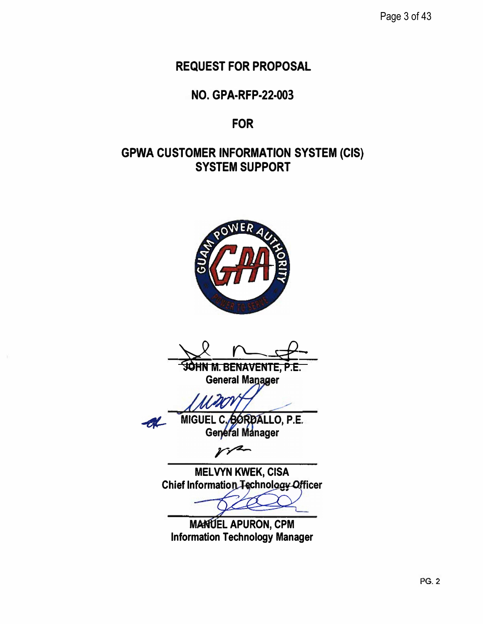Page 3 of 43

**REQUEST FOR PROPOSAL** 

**NO. GPA-RFP-22-003**

# **FOR**

# **GPWA CUSTOMER INFORMATION SYSTEM (CIS) SYSTEM SUPPORT**



 $x$   $+$ HN **M. BENAVENTE, P.E.** 

**General Ma**

MIGUEL C. BORDALLO, P.E. General Manager

**MELVYN KWEK, CISA Chief Information Technology Officer** 

**MANUEL APURON, CPM Information Technology Manager**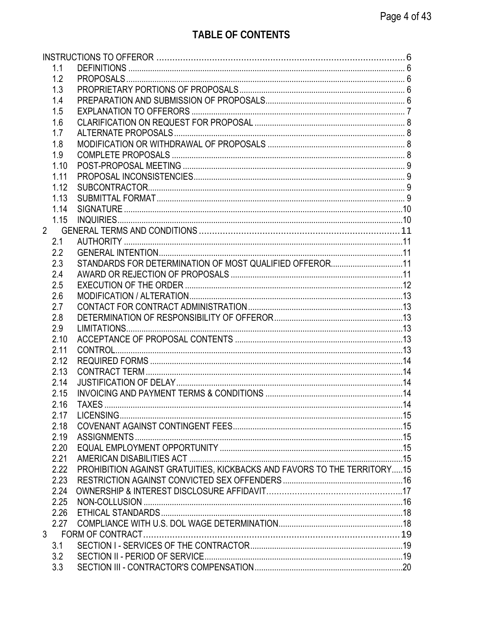| 1.1  |                                                                         |  |
|------|-------------------------------------------------------------------------|--|
| 1.2  |                                                                         |  |
| 1.3  |                                                                         |  |
| 1.4  |                                                                         |  |
| 1.5  |                                                                         |  |
| 1.6  |                                                                         |  |
| 1.7  |                                                                         |  |
| 1.8  |                                                                         |  |
| 1.9  |                                                                         |  |
| 1.10 |                                                                         |  |
| 1.11 |                                                                         |  |
| 1.12 |                                                                         |  |
| 1.13 |                                                                         |  |
| 1.14 |                                                                         |  |
| 1.15 |                                                                         |  |
|      |                                                                         |  |
| 2.1  |                                                                         |  |
| 2.2  |                                                                         |  |
| 2.3  | STANDARDS FOR DETERMINATION OF MOST QUALIFIED OFFEROR11                 |  |
|      |                                                                         |  |
| 2.4  |                                                                         |  |
| 2.5  |                                                                         |  |
| 2.6  |                                                                         |  |
| 2.7  |                                                                         |  |
| 2.8  |                                                                         |  |
| 2.9  |                                                                         |  |
| 2.10 |                                                                         |  |
| 2.11 |                                                                         |  |
| 2.12 |                                                                         |  |
| 2.13 |                                                                         |  |
| 2.14 |                                                                         |  |
| 2.15 |                                                                         |  |
| 2.16 | TAXES.                                                                  |  |
| 2.17 |                                                                         |  |
| 2.18 |                                                                         |  |
| 2.19 |                                                                         |  |
| 2.20 |                                                                         |  |
| 2.21 |                                                                         |  |
| 2.22 | PROHIBITION AGAINST GRATUITIES, KICKBACKS AND FAVORS TO THE TERRITORY15 |  |
| 2.23 |                                                                         |  |
| 2.24 |                                                                         |  |
| 2.25 |                                                                         |  |
| 2.26 |                                                                         |  |
| 2.27 |                                                                         |  |
|      |                                                                         |  |
| 3.1  |                                                                         |  |
| 3.2  |                                                                         |  |
| 3.3  |                                                                         |  |
|      |                                                                         |  |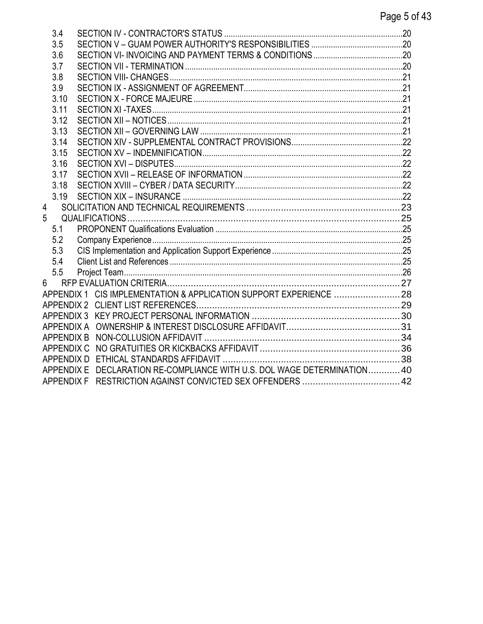|   | 3.4               |                                                                    |  |
|---|-------------------|--------------------------------------------------------------------|--|
|   | 3.5               |                                                                    |  |
|   | 3.6               |                                                                    |  |
|   | 3.7               |                                                                    |  |
|   | 3.8               |                                                                    |  |
|   | 3.9               |                                                                    |  |
|   | 3.10              |                                                                    |  |
|   | 3.11              |                                                                    |  |
|   | 3.12              |                                                                    |  |
|   | 3.13              |                                                                    |  |
|   | 3.14              |                                                                    |  |
|   | 3.15              |                                                                    |  |
|   | 3.16              |                                                                    |  |
|   | 3.17              |                                                                    |  |
|   | 3.18              |                                                                    |  |
|   | 3.19              |                                                                    |  |
| 4 |                   |                                                                    |  |
| 5 |                   |                                                                    |  |
|   | 5.1               |                                                                    |  |
|   | 5.2               |                                                                    |  |
|   | 5.3               |                                                                    |  |
|   | 5.4               |                                                                    |  |
|   | 5.5               |                                                                    |  |
| 6 |                   |                                                                    |  |
|   |                   | APPENDIX 1 CIS IMPLEMENTATION & APPLICATION SUPPORT EXPERIENCE  28 |  |
|   |                   |                                                                    |  |
|   |                   |                                                                    |  |
|   | APPENDIX A        |                                                                    |  |
|   | <b>APPENDIX B</b> |                                                                    |  |
|   |                   |                                                                    |  |
|   | APPENDIX D        |                                                                    |  |
|   | <b>APPENDIX E</b> | DECLARATION RE-COMPLIANCE WITH U.S. DOL WAGE DETERMINATION 40      |  |
|   | APPENDIX F        |                                                                    |  |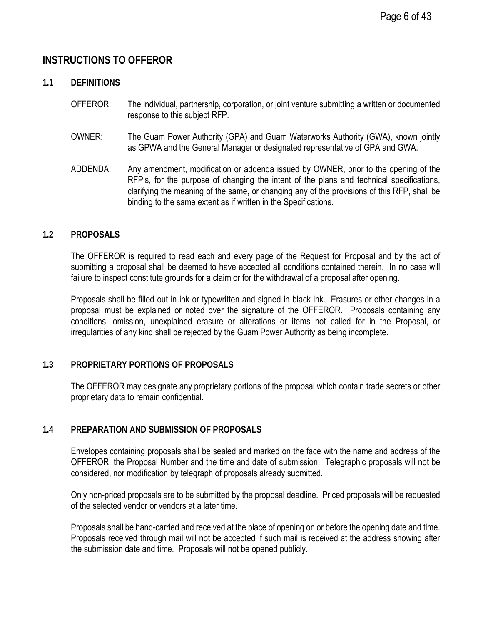# <span id="page-5-0"></span>**INSTRUCTIONS TO OFFEROR**

#### <span id="page-5-1"></span>**1.1 DEFINITIONS**

- OFFEROR: The individual, partnership, corporation, or joint venture submitting a written or documented response to this subject RFP.
- OWNER: The Guam Power Authority (GPA) and Guam Waterworks Authority (GWA), known jointly as GPWA and the General Manager or designated representative of GPA and GWA.
- ADDENDA: Any amendment, modification or addenda issued by OWNER, prior to the opening of the RFP's, for the purpose of changing the intent of the plans and technical specifications, clarifying the meaning of the same, or changing any of the provisions of this RFP, shall be binding to the same extent as if written in the Specifications.

#### <span id="page-5-2"></span>**1.2 PROPOSALS**

The OFFEROR is required to read each and every page of the Request for Proposal and by the act of submitting a proposal shall be deemed to have accepted all conditions contained therein. In no case will failure to inspect constitute grounds for a claim or for the withdrawal of a proposal after opening.

Proposals shall be filled out in ink or typewritten and signed in black ink. Erasures or other changes in a proposal must be explained or noted over the signature of the OFFEROR. Proposals containing any conditions, omission, unexplained erasure or alterations or items not called for in the Proposal, or irregularities of any kind shall be rejected by the Guam Power Authority as being incomplete.

#### <span id="page-5-3"></span>**1.3 PROPRIETARY PORTIONS OF PROPOSALS**

The OFFEROR may designate any proprietary portions of the proposal which contain trade secrets or other proprietary data to remain confidential.

#### <span id="page-5-4"></span>**1.4 PREPARATION AND SUBMISSION OF PROPOSALS**

Envelopes containing proposals shall be sealed and marked on the face with the name and address of the OFFEROR, the Proposal Number and the time and date of submission. Telegraphic proposals will not be considered, nor modification by telegraph of proposals already submitted.

Only non-priced proposals are to be submitted by the proposal deadline. Priced proposals will be requested of the selected vendor or vendors at a later time.

Proposals shall be hand-carried and received at the place of opening on or before the opening date and time. Proposals received through mail will not be accepted if such mail is received at the address showing after the submission date and time. Proposals will not be opened publicly.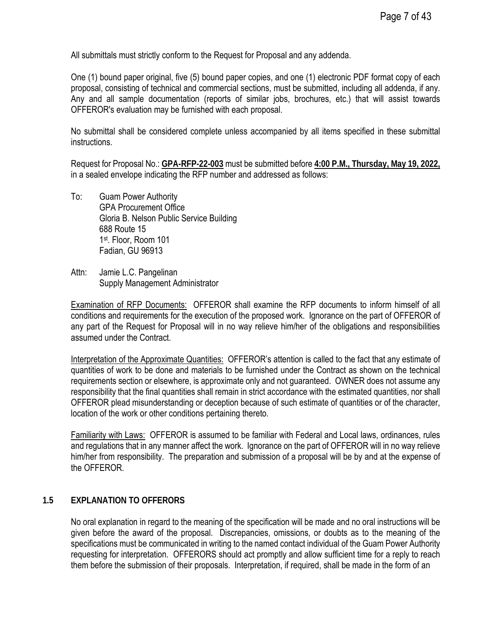All submittals must strictly conform to the Request for Proposal and any addenda.

One (1) bound paper original, five (5) bound paper copies, and one (1) electronic PDF format copy of each proposal, consisting of technical and commercial sections, must be submitted, including all addenda, if any. Any and all sample documentation (reports of similar jobs, brochures, etc.) that will assist towards OFFEROR's evaluation may be furnished with each proposal.

No submittal shall be considered complete unless accompanied by all items specified in these submittal instructions.

Request for Proposal No.: **GPA-RFP-22-003** must be submitted before **4:00 P.M., Thursday, May 19, 2022,**  in a sealed envelope indicating the RFP number and addressed as follows:

- To: Guam Power Authority GPA Procurement Office Gloria B. Nelson Public Service Building 688 Route 15 1st. Floor, Room 101 Fadian, GU 96913
- Attn: Jamie L.C. Pangelinan Supply Management Administrator

Examination of RFP Documents: OFFEROR shall examine the RFP documents to inform himself of all conditions and requirements for the execution of the proposed work. Ignorance on the part of OFFEROR of any part of the Request for Proposal will in no way relieve him/her of the obligations and responsibilities assumed under the Contract.

Interpretation of the Approximate Quantities: OFFEROR's attention is called to the fact that any estimate of quantities of work to be done and materials to be furnished under the Contract as shown on the technical requirements section or elsewhere, is approximate only and not guaranteed. OWNER does not assume any responsibility that the final quantities shall remain in strict accordance with the estimated quantities, nor shall OFFEROR plead misunderstanding or deception because of such estimate of quantities or of the character, location of the work or other conditions pertaining thereto.

Familiarity with Laws: OFFEROR is assumed to be familiar with Federal and Local laws, ordinances, rules and regulations that in any manner affect the work. Ignorance on the part of OFFEROR will in no way relieve him/her from responsibility. The preparation and submission of a proposal will be by and at the expense of the OFFEROR.

### <span id="page-6-0"></span>**1.5 EXPLANATION TO OFFERORS**

No oral explanation in regard to the meaning of the specification will be made and no oral instructions will be given before the award of the proposal. Discrepancies, omissions, or doubts as to the meaning of the specifications must be communicated in writing to the named contact individual of the Guam Power Authority requesting for interpretation. OFFERORS should act promptly and allow sufficient time for a reply to reach them before the submission of their proposals. Interpretation, if required, shall be made in the form of an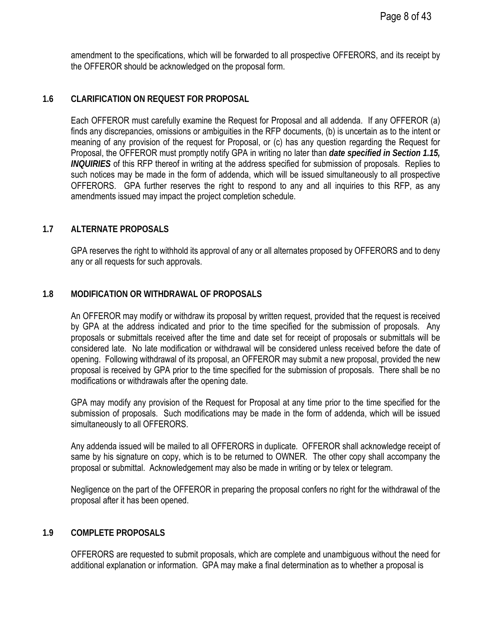amendment to the specifications, which will be forwarded to all prospective OFFERORS, and its receipt by the OFFEROR should be acknowledged on the proposal form.

### <span id="page-7-0"></span>**1.6 CLARIFICATION ON REQUEST FOR PROPOSAL**

Each OFFEROR must carefully examine the Request for Proposal and all addenda. If any OFFEROR (a) finds any discrepancies, omissions or ambiguities in the RFP documents, (b) is uncertain as to the intent or meaning of any provision of the request for Proposal, or (c) has any question regarding the Request for Proposal, the OFFEROR must promptly notify GPA in writing no later than *date specified in Section 1.15, INQUIRIES* of this RFP thereof in writing at the address specified for submission of proposals. Replies to such notices may be made in the form of addenda, which will be issued simultaneously to all prospective OFFERORS. GPA further reserves the right to respond to any and all inquiries to this RFP, as any amendments issued may impact the project completion schedule.

#### <span id="page-7-1"></span>**1.7 ALTERNATE PROPOSALS**

GPA reserves the right to withhold its approval of any or all alternates proposed by OFFERORS and to deny any or all requests for such approvals.

#### <span id="page-7-2"></span>**1.8 MODIFICATION OR WITHDRAWAL OF PROPOSALS**

An OFFEROR may modify or withdraw its proposal by written request, provided that the request is received by GPA at the address indicated and prior to the time specified for the submission of proposals. Any proposals or submittals received after the time and date set for receipt of proposals or submittals will be considered late. No late modification or withdrawal will be considered unless received before the date of opening. Following withdrawal of its proposal, an OFFEROR may submit a new proposal, provided the new proposal is received by GPA prior to the time specified for the submission of proposals. There shall be no modifications or withdrawals after the opening date.

GPA may modify any provision of the Request for Proposal at any time prior to the time specified for the submission of proposals. Such modifications may be made in the form of addenda, which will be issued simultaneously to all OFFERORS.

Any addenda issued will be mailed to all OFFERORS in duplicate. OFFEROR shall acknowledge receipt of same by his signature on copy, which is to be returned to OWNER. The other copy shall accompany the proposal or submittal. Acknowledgement may also be made in writing or by telex or telegram.

Negligence on the part of the OFFEROR in preparing the proposal confers no right for the withdrawal of the proposal after it has been opened.

#### <span id="page-7-3"></span>**1.9 COMPLETE PROPOSALS**

OFFERORS are requested to submit proposals, which are complete and unambiguous without the need for additional explanation or information. GPA may make a final determination as to whether a proposal is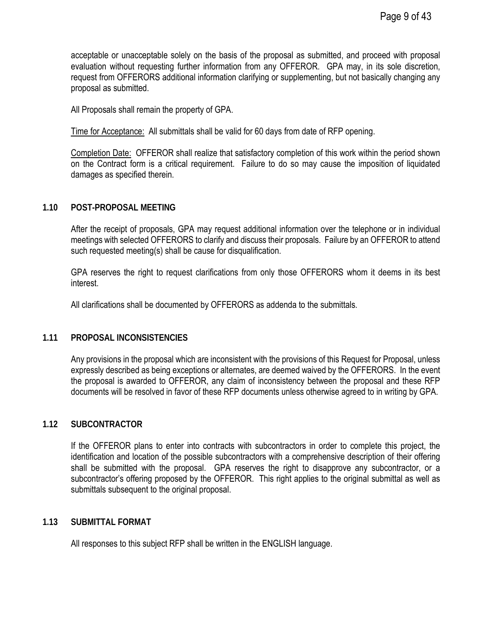acceptable or unacceptable solely on the basis of the proposal as submitted, and proceed with proposal evaluation without requesting further information from any OFFEROR. GPA may, in its sole discretion, request from OFFERORS additional information clarifying or supplementing, but not basically changing any proposal as submitted.

All Proposals shall remain the property of GPA.

Time for Acceptance: All submittals shall be valid for 60 days from date of RFP opening.

Completion Date: OFFEROR shall realize that satisfactory completion of this work within the period shown on the Contract form is a critical requirement. Failure to do so may cause the imposition of liquidated damages as specified therein.

### <span id="page-8-0"></span>**1.10 POST-PROPOSAL MEETING**

After the receipt of proposals, GPA may request additional information over the telephone or in individual meetings with selected OFFERORS to clarify and discuss their proposals. Failure by an OFFEROR to attend such requested meeting(s) shall be cause for disqualification.

GPA reserves the right to request clarifications from only those OFFERORS whom it deems in its best interest.

All clarifications shall be documented by OFFERORS as addenda to the submittals.

### <span id="page-8-1"></span>**1.11 PROPOSAL INCONSISTENCIES**

Any provisions in the proposal which are inconsistent with the provisions of this Request for Proposal, unless expressly described as being exceptions or alternates, are deemed waived by the OFFERORS. In the event the proposal is awarded to OFFEROR, any claim of inconsistency between the proposal and these RFP documents will be resolved in favor of these RFP documents unless otherwise agreed to in writing by GPA.

### <span id="page-8-2"></span>**1.12 SUBCONTRACTOR**

If the OFFEROR plans to enter into contracts with subcontractors in order to complete this project, the identification and location of the possible subcontractors with a comprehensive description of their offering shall be submitted with the proposal. GPA reserves the right to disapprove any subcontractor, or a subcontractor's offering proposed by the OFFEROR. This right applies to the original submittal as well as submittals subsequent to the original proposal.

#### <span id="page-8-3"></span>**1.13 SUBMITTAL FORMAT**

All responses to this subject RFP shall be written in the ENGLISH language.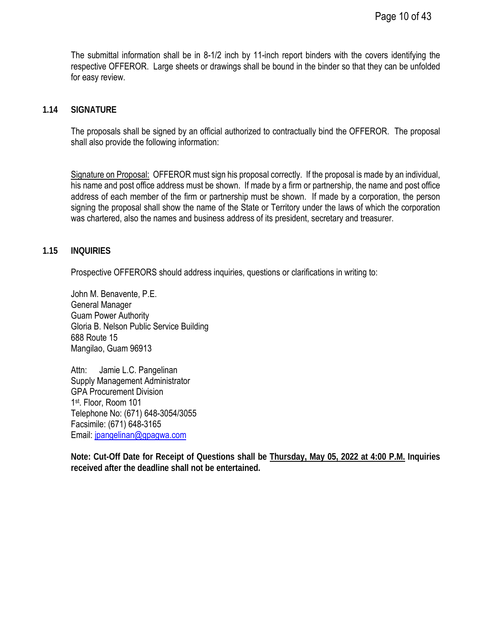The submittal information shall be in 8-1/2 inch by 11-inch report binders with the covers identifying the respective OFFEROR. Large sheets or drawings shall be bound in the binder so that they can be unfolded for easy review.

#### <span id="page-9-0"></span>**1.14 SIGNATURE**

The proposals shall be signed by an official authorized to contractually bind the OFFEROR. The proposal shall also provide the following information:

Signature on Proposal: OFFEROR must sign his proposal correctly. If the proposal is made by an individual, his name and post office address must be shown. If made by a firm or partnership, the name and post office address of each member of the firm or partnership must be shown. If made by a corporation, the person signing the proposal shall show the name of the State or Territory under the laws of which the corporation was chartered, also the names and business address of its president, secretary and treasurer.

#### <span id="page-9-1"></span>**1.15 INQUIRIES**

Prospective OFFERORS should address inquiries, questions or clarifications in writing to:

John M. Benavente, P.E. General Manager Guam Power Authority Gloria B. Nelson Public Service Building 688 Route 15 Mangilao, Guam 96913

Attn: Jamie L.C. Pangelinan Supply Management Administrator GPA Procurement Division 1st. Floor, Room 101 Telephone No: (671) 648-3054/3055 Facsimile: (671) 648-3165 Email: [jpangelinan@gpagwa.com](mailto:jpangelinan@gpagwa.com)

**Note: Cut-Off Date for Receipt of Questions shall be Thursday, May 05, 2022 at 4:00 P.M. Inquiries received after the deadline shall not be entertained.**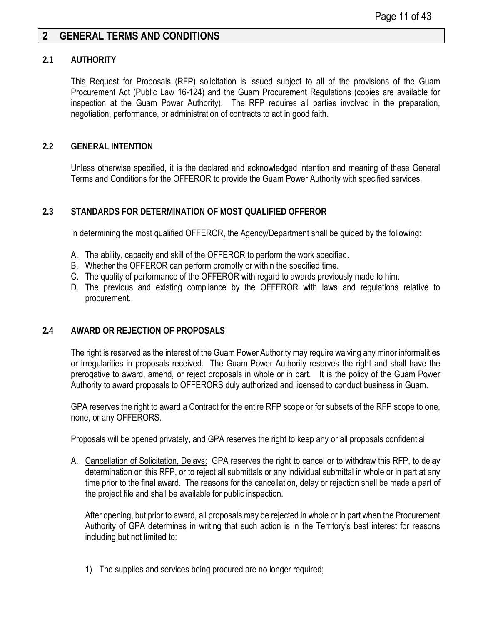## <span id="page-10-0"></span>**2 GENERAL TERMS AND CONDITIONS**

#### <span id="page-10-1"></span>**2.1 AUTHORITY**

This Request for Proposals (RFP) solicitation is issued subject to all of the provisions of the Guam Procurement Act (Public Law 16-124) and the Guam Procurement Regulations (copies are available for inspection at the Guam Power Authority). The RFP requires all parties involved in the preparation, negotiation, performance, or administration of contracts to act in good faith.

#### <span id="page-10-2"></span>**2.2 GENERAL INTENTION**

Unless otherwise specified, it is the declared and acknowledged intention and meaning of these General Terms and Conditions for the OFFEROR to provide the Guam Power Authority with specified services.

#### <span id="page-10-3"></span>**2.3 STANDARDS FOR DETERMINATION OF MOST QUALIFIED OFFEROR**

In determining the most qualified OFFEROR, the Agency/Department shall be guided by the following:

- A. The ability, capacity and skill of the OFFEROR to perform the work specified.
- B. Whether the OFFEROR can perform promptly or within the specified time.
- C. The quality of performance of the OFFEROR with regard to awards previously made to him.
- D. The previous and existing compliance by the OFFEROR with laws and regulations relative to procurement.

#### <span id="page-10-4"></span>**2.4 AWARD OR REJECTION OF PROPOSALS**

The right is reserved as the interest of the Guam Power Authority may require waiving any minor informalities or irregularities in proposals received. The Guam Power Authority reserves the right and shall have the prerogative to award, amend, or reject proposals in whole or in part. It is the policy of the Guam Power Authority to award proposals to OFFERORS duly authorized and licensed to conduct business in Guam.

GPA reserves the right to award a Contract for the entire RFP scope or for subsets of the RFP scope to one, none, or any OFFERORS.

Proposals will be opened privately, and GPA reserves the right to keep any or all proposals confidential.

A. Cancellation of Solicitation, Delays: GPA reserves the right to cancel or to withdraw this RFP, to delay determination on this RFP, or to reject all submittals or any individual submittal in whole or in part at any time prior to the final award. The reasons for the cancellation, delay or rejection shall be made a part of the project file and shall be available for public inspection.

After opening, but prior to award, all proposals may be rejected in whole or in part when the Procurement Authority of GPA determines in writing that such action is in the Territory's best interest for reasons including but not limited to:

1) The supplies and services being procured are no longer required;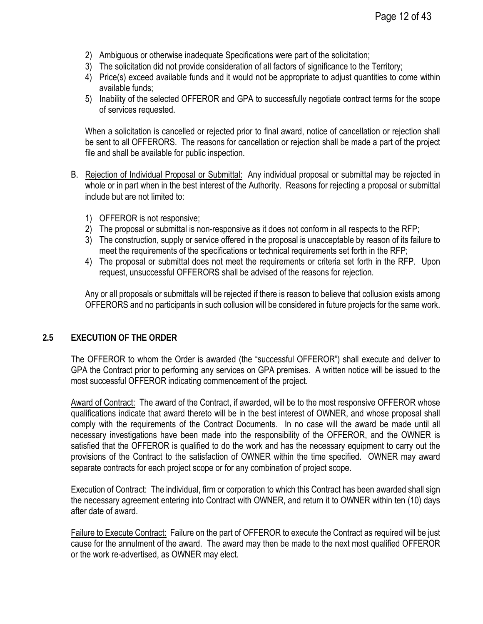- 2) Ambiguous or otherwise inadequate Specifications were part of the solicitation;
- 3) The solicitation did not provide consideration of all factors of significance to the Territory;
- 4) Price(s) exceed available funds and it would not be appropriate to adjust quantities to come within available funds;
- 5) Inability of the selected OFFEROR and GPA to successfully negotiate contract terms for the scope of services requested.

When a solicitation is cancelled or rejected prior to final award, notice of cancellation or rejection shall be sent to all OFFERORS. The reasons for cancellation or rejection shall be made a part of the project file and shall be available for public inspection.

- B. Rejection of Individual Proposal or Submittal: Any individual proposal or submittal may be rejected in whole or in part when in the best interest of the Authority. Reasons for rejecting a proposal or submittal include but are not limited to:
	- 1) OFFEROR is not responsive;
	- 2) The proposal or submittal is non-responsive as it does not conform in all respects to the RFP;
	- 3) The construction, supply or service offered in the proposal is unacceptable by reason of its failure to meet the requirements of the specifications or technical requirements set forth in the RFP;
	- 4) The proposal or submittal does not meet the requirements or criteria set forth in the RFP. Upon request, unsuccessful OFFERORS shall be advised of the reasons for rejection.

Any or all proposals or submittals will be rejected if there is reason to believe that collusion exists among OFFERORS and no participants in such collusion will be considered in future projects for the same work.

### <span id="page-11-0"></span>**2.5 EXECUTION OF THE ORDER**

The OFFEROR to whom the Order is awarded (the "successful OFFEROR") shall execute and deliver to GPA the Contract prior to performing any services on GPA premises. A written notice will be issued to the most successful OFFEROR indicating commencement of the project.

Award of Contract: The award of the Contract, if awarded, will be to the most responsive OFFEROR whose qualifications indicate that award thereto will be in the best interest of OWNER, and whose proposal shall comply with the requirements of the Contract Documents. In no case will the award be made until all necessary investigations have been made into the responsibility of the OFFEROR, and the OWNER is satisfied that the OFFEROR is qualified to do the work and has the necessary equipment to carry out the provisions of the Contract to the satisfaction of OWNER within the time specified. OWNER may award separate contracts for each project scope or for any combination of project scope.

Execution of Contract: The individual, firm or corporation to which this Contract has been awarded shall sign the necessary agreement entering into Contract with OWNER, and return it to OWNER within ten (10) days after date of award.

Failure to Execute Contract: Failure on the part of OFFEROR to execute the Contract as required will be just cause for the annulment of the award. The award may then be made to the next most qualified OFFEROR or the work re-advertised, as OWNER may elect.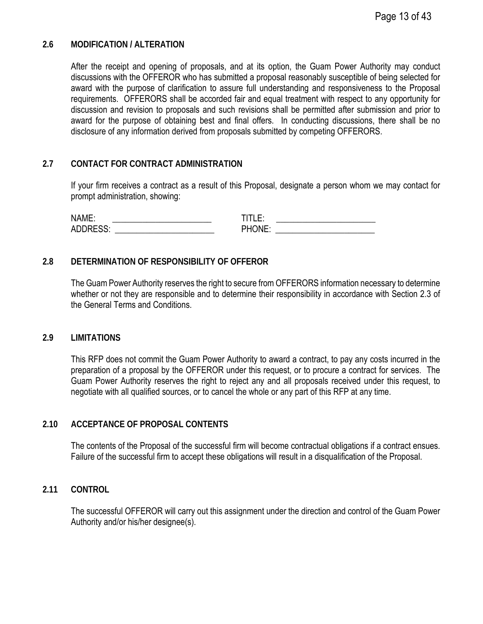#### <span id="page-12-0"></span>**2.6 MODIFICATION / ALTERATION**

After the receipt and opening of proposals, and at its option, the Guam Power Authority may conduct discussions with the OFFEROR who has submitted a proposal reasonably susceptible of being selected for award with the purpose of clarification to assure full understanding and responsiveness to the Proposal requirements. OFFERORS shall be accorded fair and equal treatment with respect to any opportunity for discussion and revision to proposals and such revisions shall be permitted after submission and prior to award for the purpose of obtaining best and final offers. In conducting discussions, there shall be no disclosure of any information derived from proposals submitted by competing OFFERORS.

#### <span id="page-12-1"></span>**2.7 CONTACT FOR CONTRACT ADMINISTRATION**

If your firm receives a contract as a result of this Proposal, designate a person whom we may contact for prompt administration, showing:

NAME: \_\_\_\_\_\_\_\_\_\_\_\_\_\_\_\_\_\_\_\_\_\_\_ TITLE: \_\_\_\_\_\_\_\_\_\_\_\_\_\_\_\_\_\_\_\_\_\_\_ ADDRESS: \_\_\_\_\_\_\_\_\_\_\_\_\_\_\_\_\_\_\_\_\_\_\_ PHONE: \_\_\_\_\_\_\_\_\_\_\_\_\_\_\_\_\_\_\_\_\_\_\_

#### <span id="page-12-2"></span>**2.8 DETERMINATION OF RESPONSIBILITY OF OFFEROR**

The Guam Power Authority reserves the right to secure from OFFERORS information necessary to determine whether or not they are responsible and to determine their responsibility in accordance with Section 2.3 of the General Terms and Conditions.

#### <span id="page-12-3"></span>**2.9 LIMITATIONS**

This RFP does not commit the Guam Power Authority to award a contract, to pay any costs incurred in the preparation of a proposal by the OFFEROR under this request, or to procure a contract for services. The Guam Power Authority reserves the right to reject any and all proposals received under this request, to negotiate with all qualified sources, or to cancel the whole or any part of this RFP at any time.

#### <span id="page-12-4"></span>**2.10 ACCEPTANCE OF PROPOSAL CONTENTS**

The contents of the Proposal of the successful firm will become contractual obligations if a contract ensues. Failure of the successful firm to accept these obligations will result in a disqualification of the Proposal.

#### <span id="page-12-5"></span>**2.11 CONTROL**

The successful OFFEROR will carry out this assignment under the direction and control of the Guam Power Authority and/or his/her designee(s).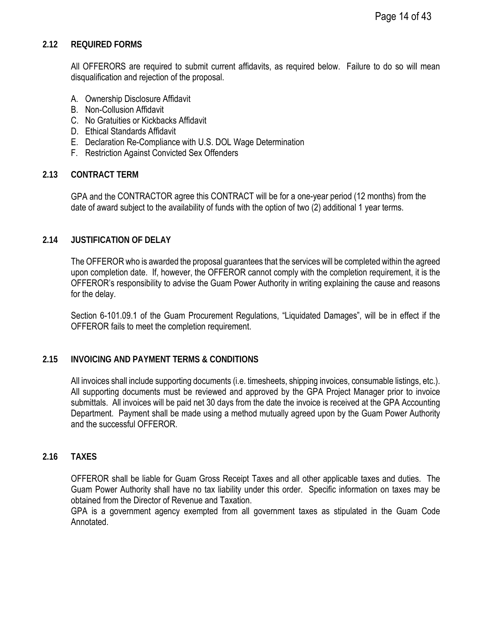### <span id="page-13-0"></span>**2.12 REQUIRED FORMS**

All OFFERORS are required to submit current affidavits, as required below. Failure to do so will mean disqualification and rejection of the proposal.

- A. Ownership Disclosure Affidavit
- B. Non-Collusion Affidavit
- C. No Gratuities or Kickbacks Affidavit
- D. Ethical Standards Affidavit
- E. Declaration Re-Compliance with U.S. DOL Wage Determination
- F. Restriction Against Convicted Sex Offenders

#### <span id="page-13-1"></span>**2.13 CONTRACT TERM**

GPA and the CONTRACTOR agree this CONTRACT will be for a one-year period (12 months) from the date of award subject to the availability of funds with the option of two (2) additional 1 year terms.

#### <span id="page-13-2"></span>**2.14 JUSTIFICATION OF DELAY**

The OFFEROR who is awarded the proposal guarantees that the services will be completed within the agreed upon completion date. If, however, the OFFEROR cannot comply with the completion requirement, it is the OFFEROR's responsibility to advise the Guam Power Authority in writing explaining the cause and reasons for the delay.

Section 6-101.09.1 of the Guam Procurement Regulations, "Liquidated Damages", will be in effect if the OFFEROR fails to meet the completion requirement.

### <span id="page-13-3"></span>**2.15 INVOICING AND PAYMENT TERMS & CONDITIONS**

All invoices shall include supporting documents (i.e. timesheets, shipping invoices, consumable listings, etc.). All supporting documents must be reviewed and approved by the GPA Project Manager prior to invoice submittals. All invoices will be paid net 30 days from the date the invoice is received at the GPA Accounting Department. Payment shall be made using a method mutually agreed upon by the Guam Power Authority and the successful OFFEROR.

#### <span id="page-13-4"></span>**2.16 TAXES**

OFFEROR shall be liable for Guam Gross Receipt Taxes and all other applicable taxes and duties. The Guam Power Authority shall have no tax liability under this order. Specific information on taxes may be obtained from the Director of Revenue and Taxation.

GPA is a government agency exempted from all government taxes as stipulated in the Guam Code Annotated.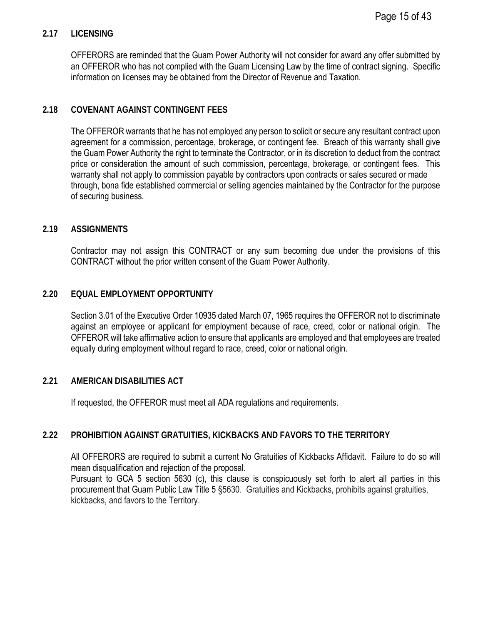### <span id="page-14-0"></span>**2.17 LICENSING**

OFFERORS are reminded that the Guam Power Authority will not consider for award any offer submitted by an OFFEROR who has not complied with the Guam Licensing Law by the time of contract signing. Specific information on licenses may be obtained from the Director of Revenue and Taxation.

## <span id="page-14-1"></span>**2.18 COVENANT AGAINST CONTINGENT FEES**

The OFFEROR warrants that he has not employed any person to solicit or secure any resultant contract upon agreement for a commission, percentage, brokerage, or contingent fee. Breach of this warranty shall give the Guam Power Authority the right to terminate the Contractor, or in its discretion to deduct from the contract price or consideration the amount of such commission, percentage, brokerage, or contingent fees. This warranty shall not apply to commission payable by contractors upon contracts or sales secured or made through, bona fide established commercial or selling agencies maintained by the Contractor for the purpose of securing business.

## <span id="page-14-2"></span>**2.19 ASSIGNMENTS**

Contractor may not assign this CONTRACT or any sum becoming due under the provisions of this CONTRACT without the prior written consent of the Guam Power Authority.

## <span id="page-14-3"></span>**2.20 EQUAL EMPLOYMENT OPPORTUNITY**

Section 3.01 of the Executive Order 10935 dated March 07, 1965 requires the OFFEROR not to discriminate against an employee or applicant for employment because of race, creed, color or national origin. The OFFEROR will take affirmative action to ensure that applicants are employed and that employees are treated equally during employment without regard to race, creed, color or national origin.

### <span id="page-14-4"></span>**2.21 AMERICAN DISABILITIES ACT**

If requested, the OFFEROR must meet all ADA regulations and requirements.

## <span id="page-14-5"></span>**2.22 PROHIBITION AGAINST GRATUITIES, KICKBACKS AND FAVORS TO THE TERRITORY**

All OFFERORS are required to submit a current No Gratuities of Kickbacks Affidavit. Failure to do so will mean disqualification and rejection of the proposal.

Pursuant to GCA 5 section 5630 (c), this clause is conspicuously set forth to alert all parties in this procurement that Guam Public Law Title 5 §5630. Gratuities and Kickbacks, prohibits against gratuities, kickbacks, and favors to the Territory.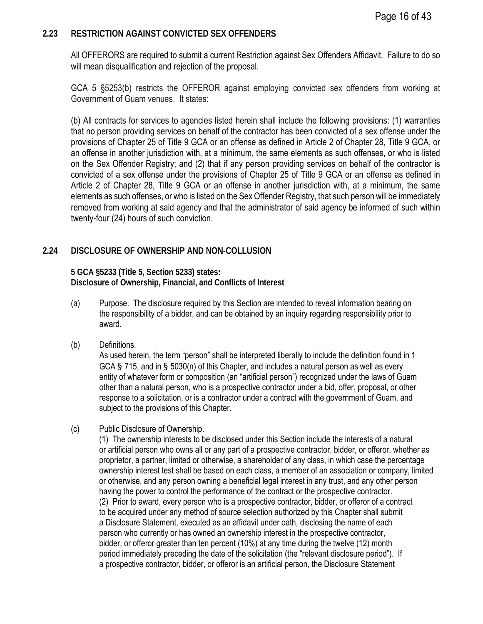#### <span id="page-15-0"></span>**2.23 RESTRICTION AGAINST CONVICTED SEX OFFENDERS**

All OFFERORS are required to submit a current Restriction against Sex Offenders Affidavit. Failure to do so will mean disqualification and rejection of the proposal.

GCA 5 §5253(b) restricts the OFFEROR against employing convicted sex offenders from working at Government of Guam venues. It states:

(b) All contracts for services to agencies listed herein shall include the following provisions: (1) warranties that no person providing services on behalf of the contractor has been convicted of a sex offense under the provisions of Chapter 25 of Title 9 GCA or an offense as defined in Article 2 of Chapter 28, Title 9 GCA, or an offense in another jurisdiction with, at a minimum, the same elements as such offenses, or who is listed on the Sex Offender Registry; and (2) that if any person providing services on behalf of the contractor is convicted of a sex offense under the provisions of Chapter 25 of Title 9 GCA or an offense as defined in Article 2 of Chapter 28, Title 9 GCA or an offense in another jurisdiction with, at a minimum, the same elements as such offenses, or who is listed on the Sex Offender Registry, that such person will be immediately removed from working at said agency and that the administrator of said agency be informed of such within twenty-four (24) hours of such conviction.

### <span id="page-15-1"></span>**2.24 DISCLOSURE OF OWNERSHIP AND NON-COLLUSION**

**5 GCA §5233 (Title 5, Section 5233) states: Disclosure of Ownership, Financial, and Conflicts of Interest**

- (a) Purpose. The disclosure required by this Section are intended to reveal information bearing on the responsibility of a bidder, and can be obtained by an inquiry regarding responsibility prior to award.
- (b) Definitions.

As used herein, the term "person" shall be interpreted liberally to include the definition found in 1 GCA § 715, and in § 5030(n) of this Chapter, and includes a natural person as well as every entity of whatever form or composition (an "artificial person") recognized under the laws of Guam other than a natural person, who is a prospective contractor under a bid, offer, proposal, or other response to a solicitation, or is a contractor under a contract with the government of Guam, and subject to the provisions of this Chapter.

(c) Public Disclosure of Ownership.

(1) The ownership interests to be disclosed under this Section include the interests of a natural or artificial person who owns all or any part of a prospective contractor, bidder, or offeror, whether as proprietor, a partner, limited or otherwise, a shareholder of any class, in which case the percentage ownership interest test shall be based on each class, a member of an association or company, limited or otherwise, and any person owning a beneficial legal interest in any trust, and any other person having the power to control the performance of the contract or the prospective contractor. (2) Prior to award, every person who is a prospective contractor, bidder, or offeror of a contract to be acquired under any method of source selection authorized by this Chapter shall submit a Disclosure Statement, executed as an affidavit under oath, disclosing the name of each person who currently or has owned an ownership interest in the prospective contractor, bidder, or offeror greater than ten percent (10%) at any time during the twelve (12) month period immediately preceding the date of the solicitation (the "relevant disclosure period"). If a prospective contractor, bidder, or offeror is an artificial person, the Disclosure Statement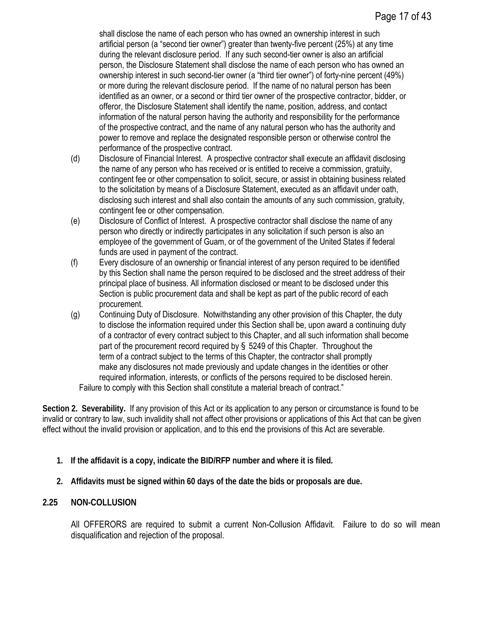shall disclose the name of each person who has owned an ownership interest in such artificial person (a "second tier owner") greater than twenty-five percent (25%) at any time during the relevant disclosure period. If any such second-tier owner is also an artificial person, the Disclosure Statement shall disclose the name of each person who has owned an ownership interest in such second-tier owner (a "third tier owner") of forty-nine percent (49%) or more during the relevant disclosure period. If the name of no natural person has been identified as an owner, or a second or third tier owner of the prospective contractor, bidder, or offeror, the Disclosure Statement shall identify the name, position, address, and contact information of the natural person having the authority and responsibility for the performance of the prospective contract, and the name of any natural person who has the authority and power to remove and replace the designated responsible person or otherwise control the performance of the prospective contract.

- (d) Disclosure of Financial Interest. A prospective contractor shall execute an affidavit disclosing the name of any person who has received or is entitled to receive a commission, gratuity, contingent fee or other compensation to solicit, secure, or assist in obtaining business related to the solicitation by means of a Disclosure Statement, executed as an affidavit under oath, disclosing such interest and shall also contain the amounts of any such commission, gratuity, contingent fee or other compensation.
- (e) Disclosure of Conflict of Interest. A prospective contractor shall disclose the name of any person who directly or indirectly participates in any solicitation if such person is also an employee of the government of Guam, or of the government of the United States if federal funds are used in payment of the contract.
- (f) Every disclosure of an ownership or financial interest of any person required to be identified by this Section shall name the person required to be disclosed and the street address of their principal place of business. All information disclosed or meant to be disclosed under this Section is public procurement data and shall be kept as part of the public record of each procurement.
- (g) Continuing Duty of Disclosure. Notwithstanding any other provision of this Chapter, the duty to disclose the information required under this Section shall be, upon award a continuing duty of a contractor of every contract subject to this Chapter, and all such information shall become part of the procurement record required by § 5249 of this Chapter. Throughout the term of a contract subject to the terms of this Chapter, the contractor shall promptly make any disclosures not made previously and update changes in the identities or other required information, interests, or conflicts of the persons required to be disclosed herein. Failure to comply with this Section shall constitute a material breach of contract."

**Section 2. Severability.** If any provision of this Act or its application to any person or circumstance is found to be invalid or contrary to law, such invalidity shall not affect other provisions or applications of this Act that can be given effect without the invalid provision or application, and to this end the provisions of this Act are severable.

- **1. If the affidavit is a copy, indicate the BID/RFP number and where it is filed.**
- **2. Affidavits must be signed within 60 days of the date the bids or proposals are due.**

### **2.25 NON-COLLUSION**

All OFFERORS are required to submit a current Non-Collusion Affidavit. Failure to do so will mean disqualification and rejection of the proposal.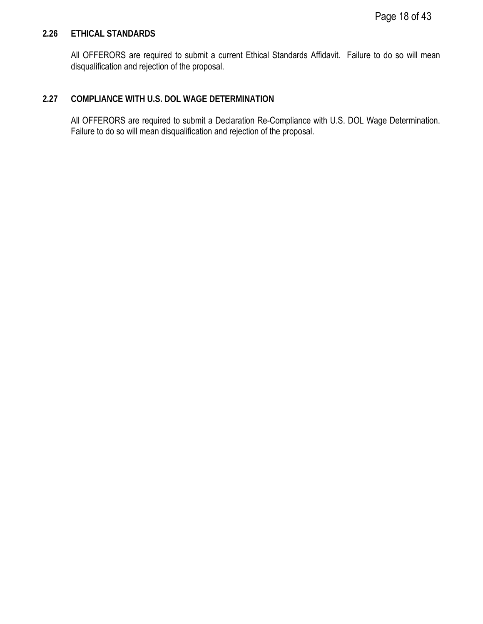### <span id="page-17-0"></span>**2.26 ETHICAL STANDARDS**

All OFFERORS are required to submit a current Ethical Standards Affidavit. Failure to do so will mean disqualification and rejection of the proposal.

### <span id="page-17-1"></span>**2.27 COMPLIANCE WITH U.S. DOL WAGE DETERMINATION**

All OFFERORS are required to submit a Declaration Re-Compliance with U.S. DOL Wage Determination. Failure to do so will mean disqualification and rejection of the proposal.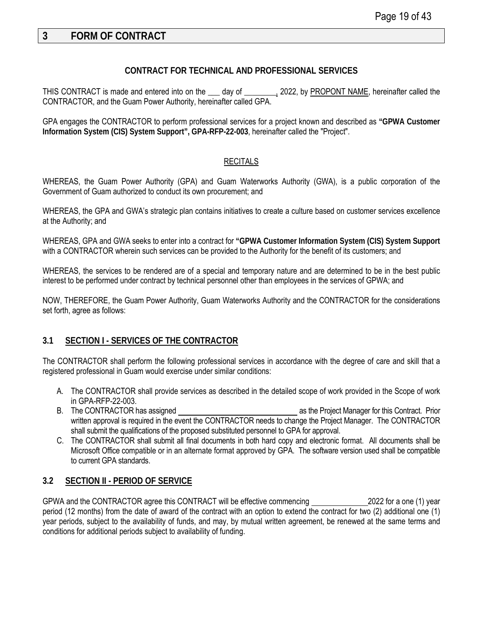# <span id="page-18-0"></span>**3 FORM OF CONTRACT**

#### **CONTRACT FOR TECHNICAL AND PROFESSIONAL SERVICES**

THIS CONTRACT is made and entered into on the sample day of sample 2022, by PROPONT NAME, hereinafter called the CONTRACTOR, and the Guam Power Authority, hereinafter called GPA.

GPA engages the CONTRACTOR to perform professional services for a project known and described as **"GPWA Customer Information System (CIS) System Support", GPA-RFP-22-003**, hereinafter called the "Project".

#### **RECITALS**

WHEREAS, the Guam Power Authority (GPA) and Guam Waterworks Authority (GWA), is a public corporation of the Government of Guam authorized to conduct its own procurement; and

WHEREAS, the GPA and GWA's strategic plan contains initiatives to create a culture based on customer services excellence at the Authority; and

WHEREAS, GPA and GWA seeks to enter into a contract for **"GPWA Customer Information System (CIS) System Support** with a CONTRACTOR wherein such services can be provided to the Authority for the benefit of its customers; and

WHEREAS, the services to be rendered are of a special and temporary nature and are determined to be in the best public interest to be performed under contract by technical personnel other than employees in the services of GPWA; and

NOW, THEREFORE, the Guam Power Authority, Guam Waterworks Authority and the CONTRACTOR for the considerations set forth, agree as follows:

#### <span id="page-18-1"></span>**3.1 SECTION I - SERVICES OF THE CONTRACTOR**

The CONTRACTOR shall perform the following professional services in accordance with the degree of care and skill that a registered professional in Guam would exercise under similar conditions:

- A. The CONTRACTOR shall provide services as described in the detailed scope of work provided in the Scope of work in GPA-RFP-22-003.
- B. The CONTRACTOR has assigned as the Project Manager for this Contract. Prior written approval is required in the event the CONTRACTOR needs to change the Project Manager. The CONTRACTOR shall submit the qualifications of the proposed substituted personnel to GPA for approval.
- C. The CONTRACTOR shall submit all final documents in both hard copy and electronic format. All documents shall be Microsoft Office compatible or in an alternate format approved by GPA. The software version used shall be compatible to current GPA standards.

### <span id="page-18-2"></span>**3.2 SECTION II - PERIOD OF SERVICE**

GPWA and the CONTRACTOR agree this CONTRACT will be effective commencing 2022 for a one (1) year period (12 months) from the date of award of the contract with an option to extend the contract for two (2) additional one (1) year periods, subject to the availability of funds, and may, by mutual written agreement, be renewed at the same terms and conditions for additional periods subject to availability of funding.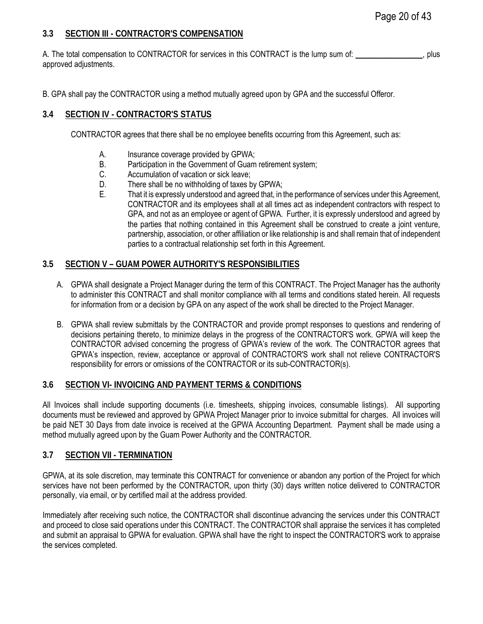### <span id="page-19-0"></span>**3.3 SECTION III - CONTRACTOR'S COMPENSATION**

A. The total compensation to CONTRACTOR for services in this CONTRACT is the lump sum of: \_\_\_\_\_\_\_\_\_\_\_\_\_\_\_\_, plus approved adjustments.

B. GPA shall pay the CONTRACTOR using a method mutually agreed upon by GPA and the successful Offeror.

## <span id="page-19-1"></span>**3.4 SECTION IV - CONTRACTOR'S STATUS**

CONTRACTOR agrees that there shall be no employee benefits occurring from this Agreement, such as:

- A. Insurance coverage provided by GPWA;
- B. Participation in the Government of Guam retirement system;
- C. Accumulation of vacation or sick leave;
- D. There shall be no withholding of taxes by GPWA;
- E. That it is expressly understood and agreed that, in the performance of services under this Agreement, CONTRACTOR and its employees shall at all times act as independent contractors with respect to GPA, and not as an employee or agent of GPWA. Further, it is expressly understood and agreed by the parties that nothing contained in this Agreement shall be construed to create a joint venture, partnership, association, or other affiliation or like relationship is and shall remain that of independent parties to a contractual relationship set forth in this Agreement.

#### <span id="page-19-2"></span>**3.5 SECTION V – GUAM POWER AUTHORITY'S RESPONSIBILITIES**

- A. GPWA shall designate a Project Manager during the term of this CONTRACT. The Project Manager has the authority to administer this CONTRACT and shall monitor compliance with all terms and conditions stated herein. All requests for information from or a decision by GPA on any aspect of the work shall be directed to the Project Manager.
- B. GPWA shall review submittals by the CONTRACTOR and provide prompt responses to questions and rendering of decisions pertaining thereto, to minimize delays in the progress of the CONTRACTOR'S work. GPWA will keep the CONTRACTOR advised concerning the progress of GPWA's review of the work. The CONTRACTOR agrees that GPWA's inspection, review, acceptance or approval of CONTRACTOR'S work shall not relieve CONTRACTOR'S responsibility for errors or omissions of the CONTRACTOR or its sub-CONTRACTOR(s).

### <span id="page-19-3"></span>**3.6 SECTION VI- INVOICING AND PAYMENT TERMS & CONDITIONS**

All Invoices shall include supporting documents (i.e. timesheets, shipping invoices, consumable listings). All supporting documents must be reviewed and approved by GPWA Project Manager prior to invoice submittal for charges. All invoices will be paid NET 30 Days from date invoice is received at the GPWA Accounting Department. Payment shall be made using a method mutually agreed upon by the Guam Power Authority and the CONTRACTOR.

### <span id="page-19-4"></span>**3.7 SECTION VII - TERMINATION**

GPWA, at its sole discretion, may terminate this CONTRACT for convenience or abandon any portion of the Project for which services have not been performed by the CONTRACTOR, upon thirty (30) days written notice delivered to CONTRACTOR personally, via email, or by certified mail at the address provided.

Immediately after receiving such notice, the CONTRACTOR shall discontinue advancing the services under this CONTRACT and proceed to close said operations under this CONTRACT. The CONTRACTOR shall appraise the services it has completed and submit an appraisal to GPWA for evaluation. GPWA shall have the right to inspect the CONTRACTOR'S work to appraise the services completed.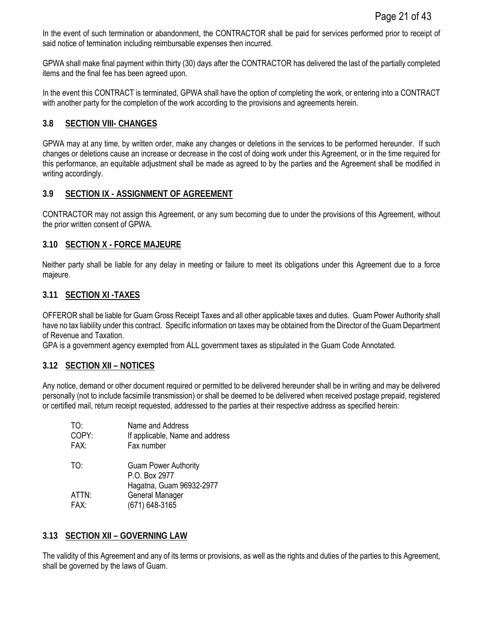In the event of such termination or abandonment, the CONTRACTOR shall be paid for services performed prior to receipt of said notice of termination including reimbursable expenses then incurred.

GPWA shall make final payment within thirty (30) days after the CONTRACTOR has delivered the last of the partially completed items and the final fee has been agreed upon.

In the event this CONTRACT is terminated, GPWA shall have the option of completing the work, or entering into a CONTRACT with another party for the completion of the work according to the provisions and agreements herein.

#### <span id="page-20-0"></span>**3.8 SECTION VIII- CHANGES**

GPWA may at any time, by written order, make any changes or deletions in the services to be performed hereunder. If such changes or deletions cause an increase or decrease in the cost of doing work under this Agreement, or in the time required for this performance, an equitable adjustment shall be made as agreed to by the parties and the Agreement shall be modified in writing accordingly.

#### <span id="page-20-1"></span>**3.9 SECTION IX - ASSIGNMENT OF AGREEMENT**

CONTRACTOR may not assign this Agreement, or any sum becoming due to under the provisions of this Agreement, without the prior written consent of GPWA.

#### <span id="page-20-2"></span>**3.10 SECTION X - FORCE MAJEURE**

Neither party shall be liable for any delay in meeting or failure to meet its obligations under this Agreement due to a force majeure.

#### <span id="page-20-3"></span>**3.11 SECTION XI -TAXES**

OFFEROR shall be liable for Guam Gross Receipt Taxes and all other applicable taxes and duties. Guam Power Authority shall have no tax liability under this contract. Specific information on taxes may be obtained from the Director of the Guam Department of Revenue and Taxation.

GPA is a government agency exempted from ALL government taxes as stipulated in the Guam Code Annotated.

#### <span id="page-20-4"></span>**3.12 SECTION XII – NOTICES**

Any notice, demand or other document required or permitted to be delivered hereunder shall be in writing and may be delivered personally (not to include facsimile transmission) or shall be deemed to be delivered when received postage prepaid, registered or certified mail, return receipt requested, addressed to the parties at their respective address as specified herein:

| Name and Address<br>If applicable, Name and address<br>Fax number        |
|--------------------------------------------------------------------------|
| <b>Guam Power Authority</b><br>P.O. Box 2977<br>Hagatna, Guam 96932-2977 |
| General Manager<br>(671) 648-3165                                        |
|                                                                          |

#### <span id="page-20-5"></span>**3.13 SECTION XII – GOVERNING LAW**

The validity of this Agreement and any of its terms or provisions, as well as the rights and duties of the parties to this Agreement, shall be governed by the laws of Guam.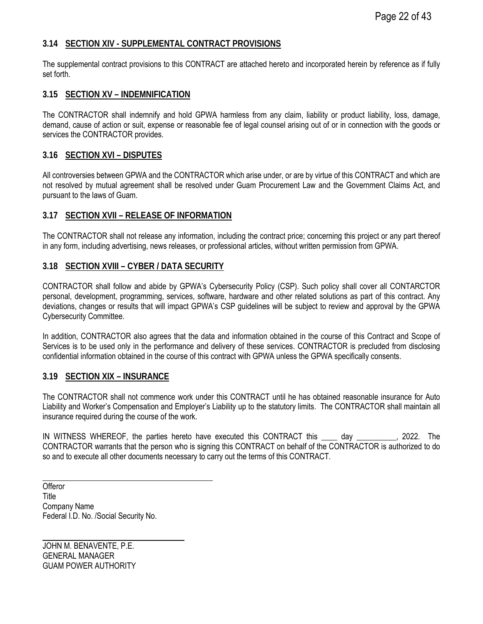#### <span id="page-21-0"></span>**3.14 SECTION XIV - SUPPLEMENTAL CONTRACT PROVISIONS**

The supplemental contract provisions to this CONTRACT are attached hereto and incorporated herein by reference as if fully set forth.

#### <span id="page-21-1"></span>**3.15 SECTION XV – INDEMNIFICATION**

The CONTRACTOR shall indemnify and hold GPWA harmless from any claim, liability or product liability, loss, damage, demand, cause of action or suit, expense or reasonable fee of legal counsel arising out of or in connection with the goods or services the CONTRACTOR provides.

#### <span id="page-21-2"></span>**3.16 SECTION XVI – DISPUTES**

All controversies between GPWA and the CONTRACTOR which arise under, or are by virtue of this CONTRACT and which are not resolved by mutual agreement shall be resolved under Guam Procurement Law and the Government Claims Act, and pursuant to the laws of Guam.

#### <span id="page-21-3"></span>**3.17 SECTION XVII – RELEASE OF INFORMATION**

The CONTRACTOR shall not release any information, including the contract price; concerning this project or any part thereof in any form, including advertising, news releases, or professional articles, without written permission from GPWA.

#### <span id="page-21-4"></span>**3.18 SECTION XVIII – CYBER / DATA SECURITY**

CONTRACTOR shall follow and abide by GPWA's Cybersecurity Policy (CSP). Such policy shall cover all CONTARCTOR personal, development, programming, services, software, hardware and other related solutions as part of this contract. Any deviations, changes or results that will impact GPWA's CSP guidelines will be subject to review and approval by the GPWA Cybersecurity Committee.

In addition, CONTRACTOR also agrees that the data and information obtained in the course of this Contract and Scope of Services is to be used only in the performance and delivery of these services. CONTRACTOR is precluded from disclosing confidential information obtained in the course of this contract with GPWA unless the GPWA specifically consents.

#### <span id="page-21-5"></span>**3.19 SECTION XIX – INSURANCE**

The CONTRACTOR shall not commence work under this CONTRACT until he has obtained reasonable insurance for Auto Liability and Worker's Compensation and Employer's Liability up to the statutory limits. The CONTRACTOR shall maintain all insurance required during the course of the work.

IN WITNESS WHEREOF, the parties hereto have executed this CONTRACT this \_\_\_\_ day \_\_\_\_\_\_\_\_\_\_, 2022. The CONTRACTOR warrants that the person who is signing this CONTRACT on behalf of the CONTRACTOR is authorized to do so and to execute all other documents necessary to carry out the terms of this CONTRACT.

**Offeror Title** Company Name Federal I.D. No. /Social Security No.

JOHN M. BENAVENTE, P.E. GENERAL MANAGER GUAM POWER AUTHORITY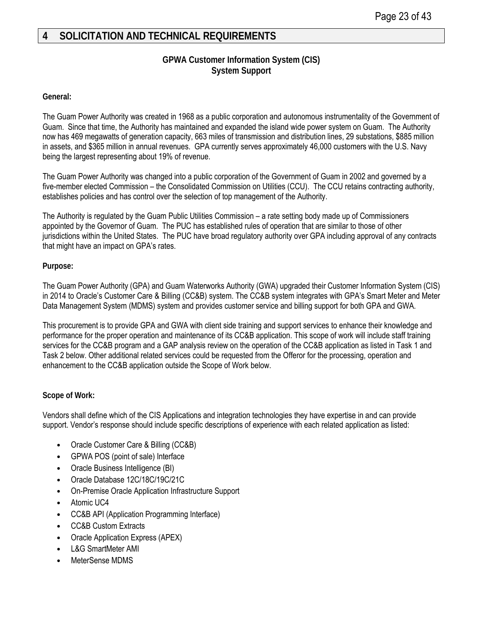# <span id="page-22-0"></span>**4 SOLICITATION AND TECHNICAL REQUIREMENTS**

### **GPWA Customer Information System (CIS) System Support**

#### **General:**

The Guam Power Authority was created in 1968 as a public corporation and autonomous instrumentality of the Government of Guam. Since that time, the Authority has maintained and expanded the island wide power system on Guam. The Authority now has 469 megawatts of generation capacity, 663 miles of transmission and distribution lines, 29 substations, \$885 million in assets, and \$365 million in annual revenues. GPA currently serves approximately 46,000 customers with the U.S. Navy being the largest representing about 19% of revenue.

The Guam Power Authority was changed into a public corporation of the Government of Guam in 2002 and governed by a five-member elected Commission – the Consolidated Commission on Utilities (CCU). The CCU retains contracting authority, establishes policies and has control over the selection of top management of the Authority.

The Authority is regulated by the Guam Public Utilities Commission – a rate setting body made up of Commissioners appointed by the Governor of Guam. The PUC has established rules of operation that are similar to those of other jurisdictions within the United States. The PUC have broad regulatory authority over GPA including approval of any contracts that might have an impact on GPA's rates.

#### **Purpose:**

The Guam Power Authority (GPA) and Guam Waterworks Authority (GWA) upgraded their Customer Information System (CIS) in 2014 to Oracle's Customer Care & Billing (CC&B) system. The CC&B system integrates with GPA's Smart Meter and Meter Data Management System (MDMS) system and provides customer service and billing support for both GPA and GWA.

This procurement is to provide GPA and GWA with client side training and support services to enhance their knowledge and performance for the proper operation and maintenance of its CC&B application. This scope of work will include staff training services for the CC&B program and a GAP analysis review on the operation of the CC&B application as listed in Task 1 and Task 2 below. Other additional related services could be requested from the Offeror for the processing, operation and enhancement to the CC&B application outside the Scope of Work below.

#### **Scope of Work:**

Vendors shall define which of the CIS Applications and integration technologies they have expertise in and can provide support. Vendor's response should include specific descriptions of experience with each related application as listed:

- Oracle Customer Care & Billing (CC&B)
- GPWA POS (point of sale) Interface
- Oracle Business Intelligence (BI)
- Oracle Database 12C/18C/19C/21C
- On-Premise Oracle Application Infrastructure Support
- Atomic UC4
- CC&B API (Application Programming Interface)
- CC&B Custom Extracts
- Oracle Application Express (APEX)
- L&G SmartMeter AMI
- MeterSense MDMS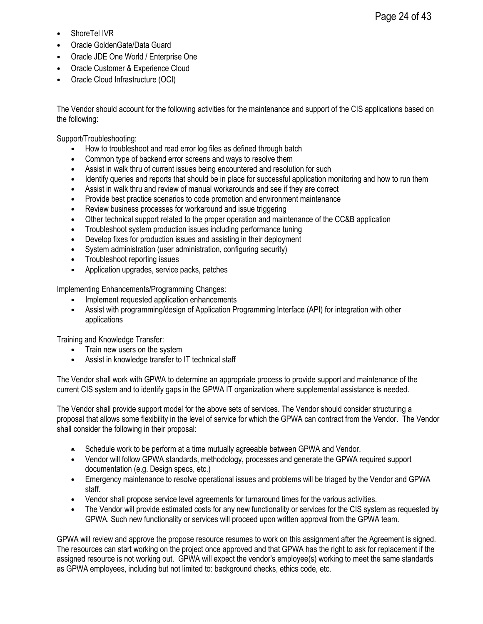- Oracle GoldenGate/Data Guard
- Oracle JDE One World / Enterprise One
- Oracle Customer & Experience Cloud
- Oracle Cloud Infrastructure (OCI)

The Vendor should account for the following activities for the maintenance and support of the CIS applications based on the following:

Support/Troubleshooting:

- How to troubleshoot and read error log files as defined through batch
- Common type of backend error screens and ways to resolve them
- Assist in walk thru of current issues being encountered and resolution for such
- Identify queries and reports that should be in place for successful application monitoring and how to run them
- Assist in walk thru and review of manual workarounds and see if they are correct
- Provide best practice scenarios to code promotion and environment maintenance<br>• Review business processes for workaround and issue triggering
- Review business processes for workaround and issue triggering<br>• Other technical support related to the proper operation and main
- Other technical support related to the proper operation and maintenance of the CC&B application<br>• Troubleshoot system production issues including performance tuning
- Troubleshoot system production issues including performance tuning
- Develop fixes for production issues and assisting in their deployment
- System administration (user administration, configuring security)
- Troubleshoot reporting issues<br>• Application upgrades, service
- Application upgrades, service packs, patches

Implementing Enhancements/Programming Changes:

- Implement requested application enhancements<br>• Assist with programming/design of Application Pr
- Assist with programming/design of Application Programming Interface (API) for integration with other applications

Training and Knowledge Transfer:

- Train new users on the system
- Assist in knowledge transfer to IT technical staff

The Vendor shall work with GPWA to determine an appropriate process to provide support and maintenance of the current CIS system and to identify gaps in the GPWA IT organization where supplemental assistance is needed.

The Vendor shall provide support model for the above sets of services. The Vendor should consider structuring a proposal that allows some flexibility in the level of service for which the GPWA can contract from the Vendor. The Vendor shall consider the following in their proposal:

- Schedule work to be perform at a time mutually agreeable between GPWA and Vendor.
- Vendor will follow GPWA standards, methodology, processes and generate the GPWA required support documentation (e.g. Design specs, etc.)
- Emergency maintenance to resolve operational issues and problems will be triaged by the Vendor and GPWA staff.
- Vendor shall propose service level agreements for turnaround times for the various activities.
- The Vendor will provide estimated costs for any new functionality or services for the CIS system as requested by GPWA. Such new functionality or services will proceed upon written approval from the GPWA team.

GPWA will review and approve the propose resource resumes to work on this assignment after the Agreement is signed. The resources can start working on the project once approved and that GPWA has the right to ask for replacement if the assigned resource is not working out. GPWA will expect the vendor's employee(s) working to meet the same standards as GPWA employees, including but not limited to: background checks, ethics code, etc.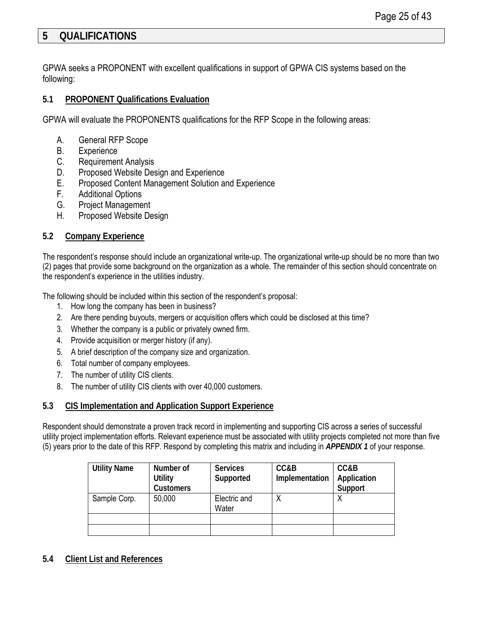# <span id="page-24-0"></span>**5 QUALIFICATIONS**

GPWA seeks a PROPONENT with excellent qualifications in support of GPWA CIS systems based on the following:

#### <span id="page-24-1"></span>**5.1 PROPONENT Qualifications Evaluation**

GPWA will evaluate the PROPONENTS qualifications for the RFP Scope in the following areas:

- A. General RFP Scope
- B. Experience
- C. Requirement Analysis
- D. Proposed Website Design and Experience
- E. Proposed Content Management Solution and Experience
- F. Additional Options
- G. Project Management
- H. Proposed Website Design

#### <span id="page-24-2"></span>**5.2 Company Experience**

The respondent's response should include an organizational write-up. The organizational write-up should be no more than two (2) pages that provide some background on the organization as a whole. The remainder of this section should concentrate on the respondent's experience in the utilities industry.

The following should be included within this section of the respondent's proposal:

- 1. How long the company has been in business?
- 2. Are there pending buyouts, mergers or acquisition offers which could be disclosed at this time?
- 3. Whether the company is a public or privately owned firm.
- 4. Provide acquisition or merger history (if any).
- 5. A brief description of the company size and organization.
- 6. Total number of company employees.
- 7. The number of utility CIS clients.
- 8. The number of utility CIS clients with over 40,000 customers.

#### <span id="page-24-3"></span>**5.3 CIS Implementation and Application Support Experience**

Respondent should demonstrate a proven track record in implementing and supporting CIS across a series of successful utility project implementation efforts. Relevant experience must be associated with utility projects completed not more than five (5) years prior to the date of this RFP. Respond by completing this matrix and including in *APPENDIX 1* of your response.

| <b>Utility Name</b> | Number of<br><b>Utility</b><br><b>Customers</b> | <b>Services</b><br>Supported | CC&B<br>Implementation | CC&B<br>Application<br>Support |
|---------------------|-------------------------------------------------|------------------------------|------------------------|--------------------------------|
| Sample Corp.        | 50,000                                          | Electric and<br>Water        |                        |                                |
|                     |                                                 |                              |                        |                                |
|                     |                                                 |                              |                        |                                |

<span id="page-24-4"></span>**5.4 Client List and References**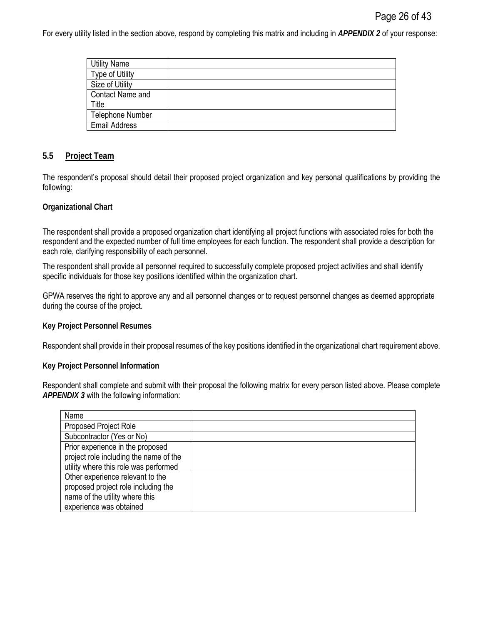For every utility listed in the section above, respond by completing this matrix and including in *APPENDIX 2* of your response:

| <b>Utility Name</b>     |  |
|-------------------------|--|
| <b>Type of Utility</b>  |  |
| Size of Utility         |  |
| Contact Name and        |  |
| Title                   |  |
| <b>Telephone Number</b> |  |
| <b>Email Address</b>    |  |
|                         |  |

#### <span id="page-25-0"></span>**5.5 Project Team**

The respondent's proposal should detail their proposed project organization and key personal qualifications by providing the following:

#### **Organizational Chart**

The respondent shall provide a proposed organization chart identifying all project functions with associated roles for both the respondent and the expected number of full time employees for each function. The respondent shall provide a description for each role, clarifying responsibility of each personnel.

The respondent shall provide all personnel required to successfully complete proposed project activities and shall identify specific individuals for those key positions identified within the organization chart.

GPWA reserves the right to approve any and all personnel changes or to request personnel changes as deemed appropriate during the course of the project.

#### **Key Project Personnel Resumes**

Respondent shall provide in their proposal resumes of the key positions identified in the organizational chart requirement above.

#### **Key Project Personnel Information**

Respondent shall complete and submit with their proposal the following matrix for every person listed above. Please complete *APPENDIX 3* with the following information:

| Name                                   |  |
|----------------------------------------|--|
| <b>Proposed Project Role</b>           |  |
| Subcontractor (Yes or No)              |  |
| Prior experience in the proposed       |  |
| project role including the name of the |  |
| utility where this role was performed  |  |
| Other experience relevant to the       |  |
| proposed project role including the    |  |
| name of the utility where this         |  |
| experience was obtained                |  |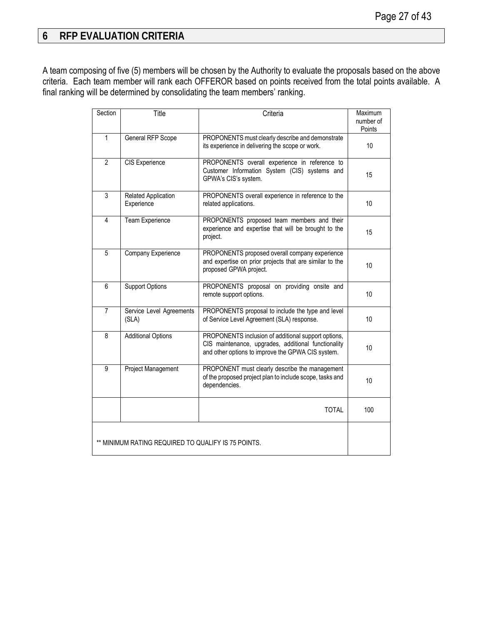# <span id="page-26-0"></span>**6 RFP EVALUATION CRITERIA**

A team composing of five (5) members will be chosen by the Authority to evaluate the proposals based on the above criteria. Each team member will rank each OFFEROR based on points received from the total points available. A final ranking will be determined by consolidating the team members' ranking.

| Section        | Title                                               | Criteria                                                                                                                                                        | Maximum<br>number of<br>Points |
|----------------|-----------------------------------------------------|-----------------------------------------------------------------------------------------------------------------------------------------------------------------|--------------------------------|
| $\mathbf{1}$   | General RFP Scope                                   | PROPONENTS must clearly describe and demonstrate<br>its experience in delivering the scope or work.                                                             | 10                             |
| $\mathfrak{p}$ | CIS Experience                                      | PROPONENTS overall experience in reference to<br>Customer Information System (CIS) systems and<br>GPWA's CIS's system.                                          | 15                             |
| $\overline{3}$ | <b>Related Application</b><br>Experience            | PROPONENTS overall experience in reference to the<br>related applications.                                                                                      | 10                             |
| 4              | Team Experience                                     | PROPONENTS proposed team members and their<br>experience and expertise that will be brought to the<br>project.                                                  | 15                             |
| 5              | Company Experience                                  | PROPONENTS proposed overall company experience<br>and expertise on prior projects that are similar to the<br>proposed GPWA project.                             | 10                             |
| 6              | <b>Support Options</b>                              | PROPONENTS proposal on providing onsite and<br>remote support options.                                                                                          | 10                             |
| $\overline{7}$ | Service Level Agreements<br>(SLA)                   | PROPONENTS proposal to include the type and level<br>of Service Level Agreement (SLA) response.                                                                 | 10                             |
| 8              | <b>Additional Options</b>                           | PROPONENTS inclusion of additional support options,<br>CIS maintenance, upgrades, additional functionality<br>and other options to improve the GPWA CIS system. | 10                             |
| 9              | <b>Project Management</b>                           | PROPONENT must clearly describe the management<br>of the proposed project plan to include scope, tasks and<br>dependencies.                                     | 10                             |
|                |                                                     | <b>TOTAL</b>                                                                                                                                                    | 100                            |
|                | ** MINIMUM RATING REQUIRED TO QUALIFY IS 75 POINTS. |                                                                                                                                                                 |                                |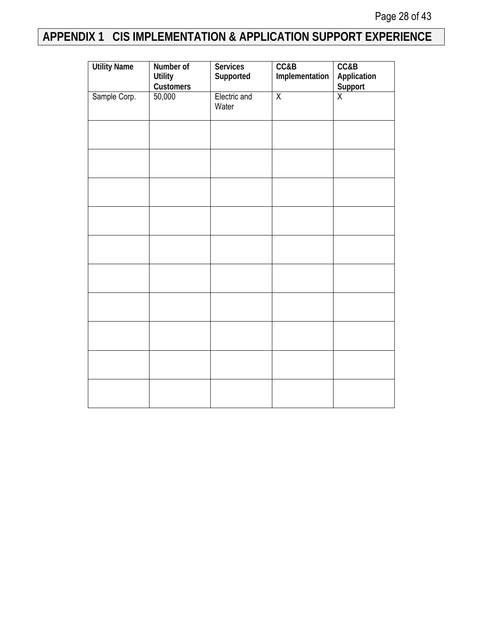# <span id="page-27-0"></span>**APPENDIX 1 CIS IMPLEMENTATION & APPLICATION SUPPORT EXPERIENCE**

| <b>Utility Name</b> | Number of<br><b>Utility</b> | <b>Services</b><br>Supported | CC&B<br>Implementation | CC&B<br>Application     |
|---------------------|-----------------------------|------------------------------|------------------------|-------------------------|
|                     | Customers                   |                              |                        | Support                 |
| Sample Corp.        | 50,000                      | Electric and<br>Water        | $\overline{X}$         | $\overline{\mathsf{X}}$ |
|                     |                             |                              |                        |                         |
|                     |                             |                              |                        |                         |
|                     |                             |                              |                        |                         |
|                     |                             |                              |                        |                         |
|                     |                             |                              |                        |                         |
|                     |                             |                              |                        |                         |
|                     |                             |                              |                        |                         |
|                     |                             |                              |                        |                         |
|                     |                             |                              |                        |                         |
|                     |                             |                              |                        |                         |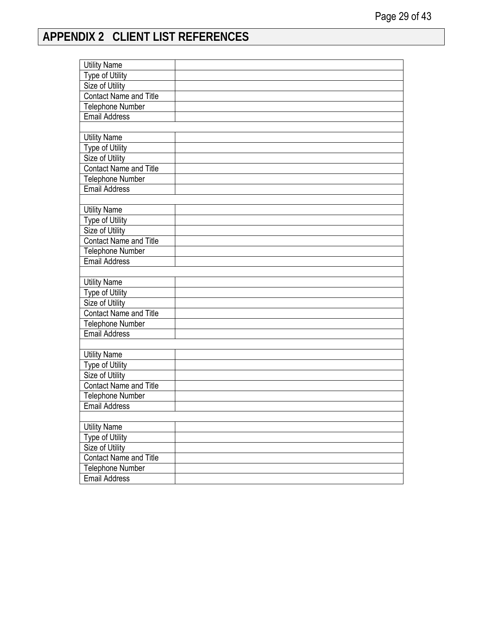# <span id="page-28-0"></span>**APPENDIX 2 CLIENT LIST REFERENCES**

| <b>Utility Name</b>           |  |
|-------------------------------|--|
| Type of Utility               |  |
| Size of Utility               |  |
| <b>Contact Name and Title</b> |  |
| Telephone Number              |  |
| <b>Email Address</b>          |  |
|                               |  |
| <b>Utility Name</b>           |  |
| <b>Type of Utility</b>        |  |
| <b>Size of Utility</b>        |  |
| <b>Contact Name and Title</b> |  |
| <b>Telephone Number</b>       |  |
| <b>Email Address</b>          |  |
|                               |  |
| <b>Utility Name</b>           |  |
| Type of Utility               |  |
| <b>Size of Utility</b>        |  |
| <b>Contact Name and Title</b> |  |
| <b>Telephone Number</b>       |  |
| <b>Email Address</b>          |  |
|                               |  |
| <b>Utility Name</b>           |  |
| <b>Type of Utility</b>        |  |
| <b>Size of Utility</b>        |  |
| Contact Name and Title        |  |
| <b>Telephone Number</b>       |  |
| <b>Email Address</b>          |  |
|                               |  |
| <b>Utility Name</b>           |  |
| <b>Type of Utility</b>        |  |
| Size of Utility               |  |
| <b>Contact Name and Title</b> |  |
| Telephone Number              |  |
| <b>Email Address</b>          |  |
|                               |  |
| <b>Utility Name</b>           |  |
| Type of Utility               |  |
| Size of Utility               |  |
| <b>Contact Name and Title</b> |  |
| Telephone Number              |  |
| <b>Email Address</b>          |  |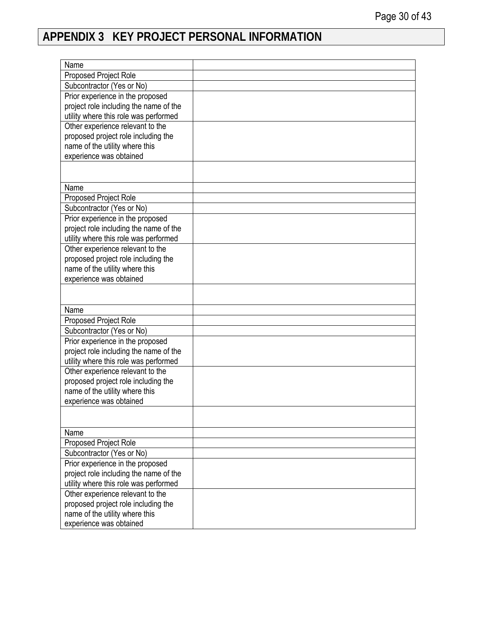# <span id="page-29-0"></span>**APPENDIX 3 KEY PROJECT PERSONAL INFORMATION**

| Name                                   |  |
|----------------------------------------|--|
| Proposed Project Role                  |  |
| Subcontractor (Yes or No)              |  |
| Prior experience in the proposed       |  |
| project role including the name of the |  |
| utility where this role was performed  |  |
| Other experience relevant to the       |  |
| proposed project role including the    |  |
| name of the utility where this         |  |
| experience was obtained                |  |
|                                        |  |
|                                        |  |
| Name                                   |  |
| Proposed Project Role                  |  |
| Subcontractor (Yes or No)              |  |
| Prior experience in the proposed       |  |
| project role including the name of the |  |
| utility where this role was performed  |  |
| Other experience relevant to the       |  |
| proposed project role including the    |  |
| name of the utility where this         |  |
| experience was obtained                |  |
|                                        |  |
|                                        |  |
| Name                                   |  |
| Proposed Project Role                  |  |
| Subcontractor (Yes or No)              |  |
| Prior experience in the proposed       |  |
| project role including the name of the |  |
| utility where this role was performed  |  |
| Other experience relevant to the       |  |
| proposed project role including the    |  |
| name of the utility where this         |  |
| experience was obtained                |  |
|                                        |  |
|                                        |  |
| Name                                   |  |
| Proposed Project Role                  |  |
| Subcontractor (Yes or No)              |  |
| Prior experience in the proposed       |  |
| project role including the name of the |  |
| utility where this role was performed  |  |
| Other experience relevant to the       |  |
| proposed project role including the    |  |
| name of the utility where this         |  |
| experience was obtained                |  |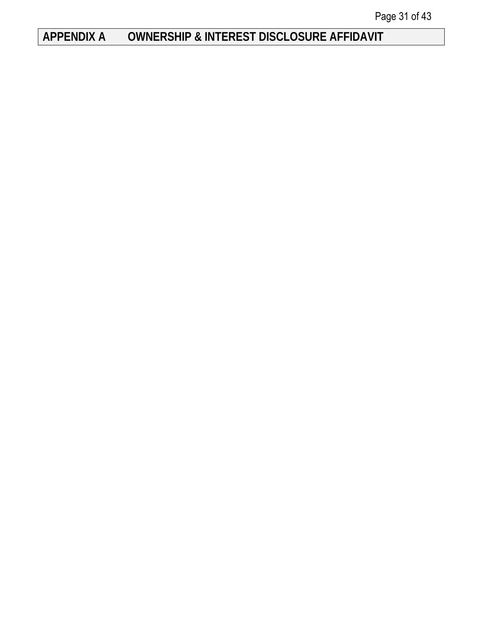# <span id="page-30-0"></span>**APPENDIX A OWNERSHIP & INTEREST DISCLOSURE AFFIDAVIT**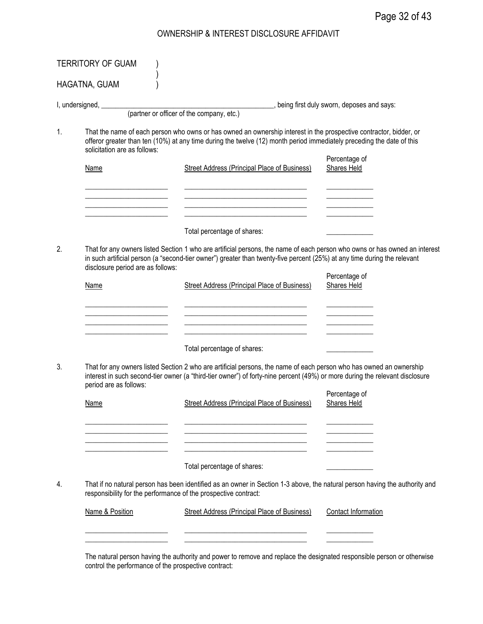## OWNERSHIP & INTEREST DISCLOSURE AFFIDAVIT

|    | HAGATNA, GUAM                     |                                                                                                                                                                                                                                                                                    |                                     |
|----|-----------------------------------|------------------------------------------------------------------------------------------------------------------------------------------------------------------------------------------------------------------------------------------------------------------------------------|-------------------------------------|
|    |                                   |                                                                                                                                                                                                                                                                                    |                                     |
|    | I, undersigned, __________        | __________, being first duly sworn, deposes and says:<br>(partner or officer of the company, etc.)                                                                                                                                                                                 |                                     |
| 1. | solicitation are as follows:      | That the name of each person who owns or has owned an ownership interest in the prospective contractor, bidder, or<br>offeror greater than ten (10%) at any time during the twelve (12) month period immediately preceding the date of this                                        |                                     |
|    | <b>Name</b>                       | <b>Street Address (Principal Place of Business)</b>                                                                                                                                                                                                                                | Percentage of<br>Shares Held        |
|    |                                   |                                                                                                                                                                                                                                                                                    |                                     |
|    |                                   | Total percentage of shares:                                                                                                                                                                                                                                                        |                                     |
| 2. | disclosure period are as follows: | That for any owners listed Section 1 who are artificial persons, the name of each person who owns or has owned an interest<br>in such artificial person (a "second-tier owner") greater than twenty-five percent (25%) at any time during the relevant                             | Percentage of                       |
|    | <b>Name</b>                       | Street Address (Principal Place of Business)                                                                                                                                                                                                                                       | Shares Held                         |
| 3. | period are as follows:            | Total percentage of shares:<br>That for any owners listed Section 2 who are artificial persons, the name of each person who has owned an ownership<br>interest in such second-tier owner (a "third-tier owner") of forty-nine percent (49%) or more during the relevant disclosure |                                     |
|    | Name                              | Street Address (Principal Place of Business)                                                                                                                                                                                                                                       | Percentage of<br><b>Shares Held</b> |
|    |                                   | <u> 1989 - Johann Barbara, martin amerikan basar dan berasal dan berasal dalam basar dalam basar dalam basar dala</u><br><u> 1980 - Johann Barbara, martin amerikan basar dan basa dan basa dan basa dalam basa dalam basa dalam basa dan</u>                                      |                                     |
|    |                                   | Total percentage of shares:                                                                                                                                                                                                                                                        |                                     |
| 4. |                                   | That if no natural person has been identified as an owner in Section 1-3 above, the natural person having the authority and<br>responsibility for the performance of the prospective contract:                                                                                     |                                     |
|    | Name & Position                   | Street Address (Principal Place of Business)                                                                                                                                                                                                                                       | Contact Information                 |

The natural person having the authority and power to remove and replace the designated responsible person or otherwise control the performance of the prospective contract: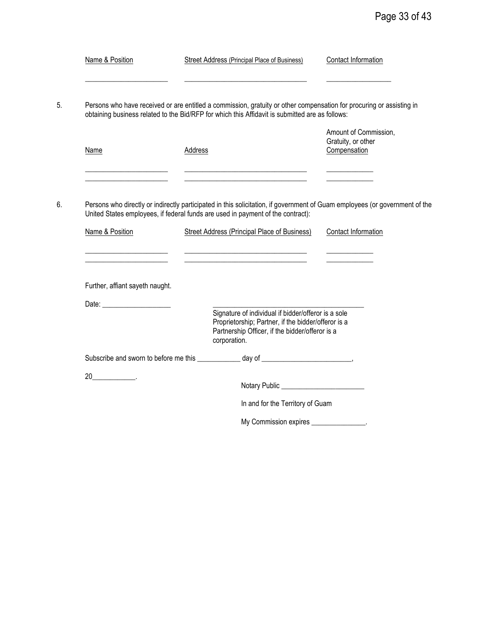| Name & Position                 |         | <b>Street Address (Principal Place of Business)</b>                                                                                                                                                                                                                   | Contact Information                                         |
|---------------------------------|---------|-----------------------------------------------------------------------------------------------------------------------------------------------------------------------------------------------------------------------------------------------------------------------|-------------------------------------------------------------|
|                                 |         | Persons who have received or are entitled a commission, gratuity or other compensation for procuring or assisting in<br>obtaining business related to the Bid/RFP for which this Affidavit is submitted are as follows:                                               |                                                             |
| Name                            | Address | the contract of the contract of the contract of the contract of the contract of                                                                                                                                                                                       | Amount of Commission,<br>Gratuity, or other<br>Compensation |
| Name & Position                 |         | Persons who directly or indirectly participated in this solicitation, if government of Guam employees (or government of the<br>United States employees, if federal funds are used in payment of the contract):<br><b>Street Address (Principal Place of Business)</b> | <b>Contact Information</b>                                  |
|                                 |         |                                                                                                                                                                                                                                                                       |                                                             |
| Further, affiant sayeth naught. |         |                                                                                                                                                                                                                                                                       |                                                             |
| Date: ________________________  |         | Signature of individual if bidder/offeror is a sole<br>Proprietorship; Partner, if the bidder/offeror is a<br>Partnership Officer, if the bidder/offeror is a<br>corporation.                                                                                         |                                                             |
|                                 |         | Subscribe and sworn to before me this ____________ day of ______________________,                                                                                                                                                                                     |                                                             |
| $20$ .                          |         |                                                                                                                                                                                                                                                                       |                                                             |
|                                 |         | In and for the Territory of Guam                                                                                                                                                                                                                                      |                                                             |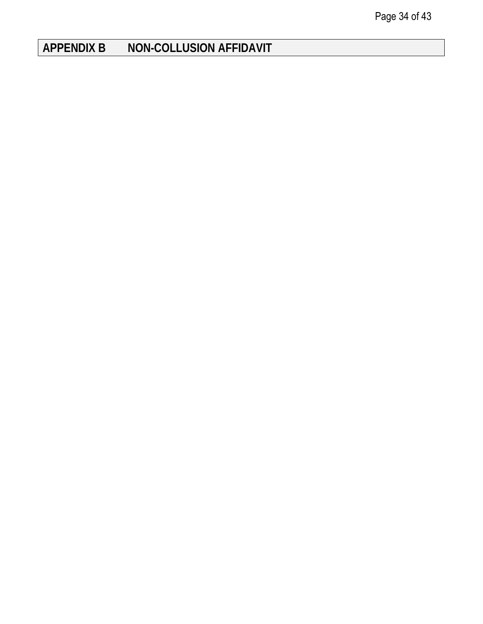# <span id="page-33-0"></span>**APPENDIX B NON-COLLUSION AFFIDAVIT**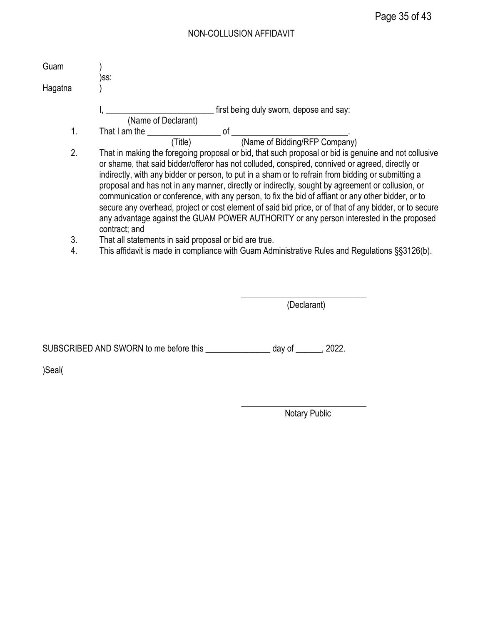## NON-COLLUSION AFFIDAVIT

| Guam    |                                                                                                                                                                                                                                                                                                                                                                                                                                                                                                                                                                                                                                                                                                                                               |
|---------|-----------------------------------------------------------------------------------------------------------------------------------------------------------------------------------------------------------------------------------------------------------------------------------------------------------------------------------------------------------------------------------------------------------------------------------------------------------------------------------------------------------------------------------------------------------------------------------------------------------------------------------------------------------------------------------------------------------------------------------------------|
| Hagatna | )ss:                                                                                                                                                                                                                                                                                                                                                                                                                                                                                                                                                                                                                                                                                                                                          |
|         | first being duly sworn, depose and say:<br>(Name of Declarant)                                                                                                                                                                                                                                                                                                                                                                                                                                                                                                                                                                                                                                                                                |
| 1.      | That I am the control of                                                                                                                                                                                                                                                                                                                                                                                                                                                                                                                                                                                                                                                                                                                      |
|         | (Name of Bidding/RFP Company)<br>(Title)                                                                                                                                                                                                                                                                                                                                                                                                                                                                                                                                                                                                                                                                                                      |
| 2.      | That in making the foregoing proposal or bid, that such proposal or bid is genuine and not collusive<br>or shame, that said bidder/offeror has not colluded, conspired, connived or agreed, directly or<br>indirectly, with any bidder or person, to put in a sham or to refrain from bidding or submitting a<br>proposal and has not in any manner, directly or indirectly, sought by agreement or collusion, or<br>communication or conference, with any person, to fix the bid of affiant or any other bidder, or to<br>secure any overhead, project or cost element of said bid price, or of that of any bidder, or to secure<br>any advantage against the GUAM POWER AUTHORITY or any person interested in the proposed<br>contract; and |
| 3.      | That all statements in said proposal or bid are true.                                                                                                                                                                                                                                                                                                                                                                                                                                                                                                                                                                                                                                                                                         |
| 4.      | This affidavit is made in compliance with Guam Administrative Rules and Regulations §§3126(b).                                                                                                                                                                                                                                                                                                                                                                                                                                                                                                                                                                                                                                                |

\_\_\_\_\_\_\_\_\_\_\_\_\_\_\_\_\_\_\_\_\_\_\_\_\_\_\_\_\_ (Declarant)

SUBSCRIBED AND SWORN to me before this \_\_\_\_\_\_\_\_\_\_\_\_\_\_\_\_ day of \_\_\_\_\_\_, 2022.

)Seal(

\_\_\_\_\_\_\_\_\_\_\_\_\_\_\_\_\_\_\_\_\_\_\_\_\_\_\_\_\_ Notary Public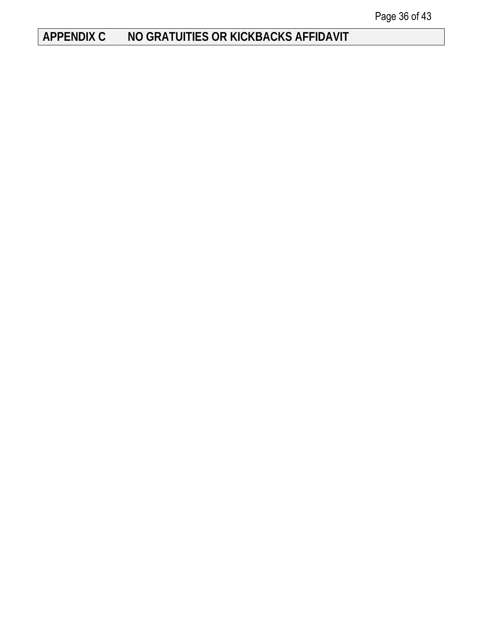# <span id="page-35-0"></span>**APPENDIX C NO GRATUITIES OR KICKBACKS AFFIDAVIT**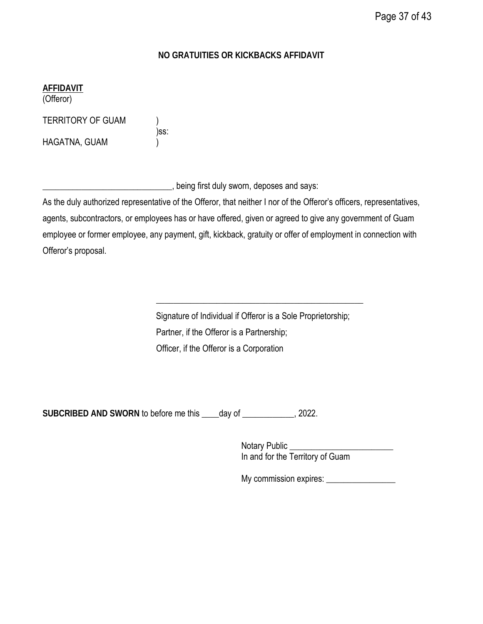## **NO GRATUITIES OR KICKBACKS AFFIDAVIT**

**AFFIDAVIT**

(Offeror)

TERRITORY OF GUAM )

HAGATNA, GUAM )

)ss:

Letter 2008 sworn, deposes and says:

As the duly authorized representative of the Offeror, that neither I nor of the Offeror's officers, representatives, agents, subcontractors, or employees has or have offered, given or agreed to give any government of Guam employee or former employee, any payment, gift, kickback, gratuity or offer of employment in connection with Offeror's proposal.

> Signature of Individual if Offeror is a Sole Proprietorship; Partner, if the Offeror is a Partnership; Officer, if the Offeror is a Corporation

\_\_\_\_\_\_\_\_\_\_\_\_\_\_\_\_\_\_\_\_\_\_\_\_\_\_\_\_\_\_\_\_\_\_\_\_\_\_\_\_\_\_\_\_\_\_\_\_

**SUBCRIBED AND SWORN** to before me this \_\_\_\_day of \_\_\_\_\_\_\_\_\_\_\_\_, 2022.

Notary Public In and for the Territory of Guam

My commission expires: \_\_\_\_\_\_\_\_\_\_\_\_\_\_\_\_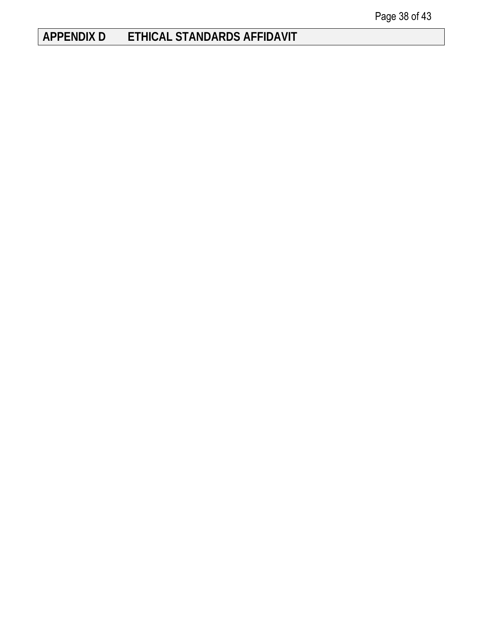# <span id="page-37-0"></span>**APPENDIX D ETHICAL STANDARDS AFFIDAVIT**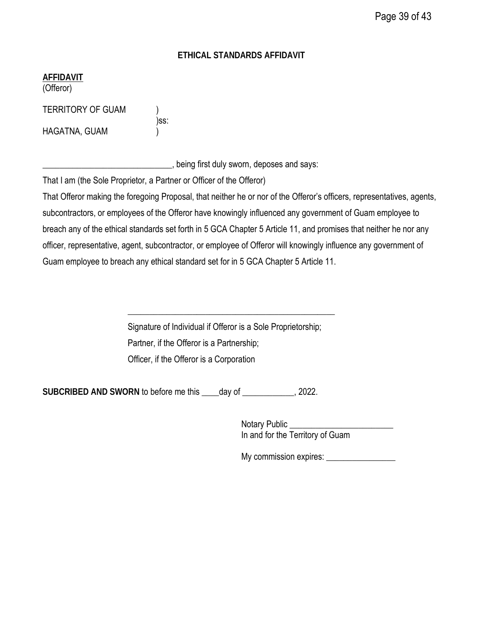## **ETHICAL STANDARDS AFFIDAVIT**

## **AFFIDAVIT**

(Offeror)

TERRITORY OF GUAM )

HAGATNA, GUAM )

| SS |
|----|
|    |

\_\_\_\_\_\_\_\_\_\_\_\_\_\_\_\_\_\_\_\_\_\_\_\_\_\_\_\_\_\_, being first duly sworn, deposes and says:

That I am (the Sole Proprietor, a Partner or Officer of the Offeror)

That Offeror making the foregoing Proposal, that neither he or nor of the Offeror's officers, representatives, agents, subcontractors, or employees of the Offeror have knowingly influenced any government of Guam employee to breach any of the ethical standards set forth in 5 GCA Chapter 5 Article 11, and promises that neither he nor any officer, representative, agent, subcontractor, or employee of Offeror will knowingly influence any government of Guam employee to breach any ethical standard set for in 5 GCA Chapter 5 Article 11.

> Signature of Individual if Offeror is a Sole Proprietorship; Partner, if the Offeror is a Partnership; Officer, if the Offeror is a Corporation

\_\_\_\_\_\_\_\_\_\_\_\_\_\_\_\_\_\_\_\_\_\_\_\_\_\_\_\_\_\_\_\_\_\_\_\_\_\_\_\_\_\_\_\_\_\_\_\_

**SUBCRIBED AND SWORN** to before me this \_\_\_\_day of \_\_\_\_\_\_\_\_\_\_\_\_, 2022.

Notary Public \_\_\_\_\_\_\_\_\_\_\_\_\_\_\_\_\_\_\_\_\_\_\_\_ In and for the Territory of Guam

My commission expires: \_\_\_\_\_\_\_\_\_\_\_\_\_\_\_\_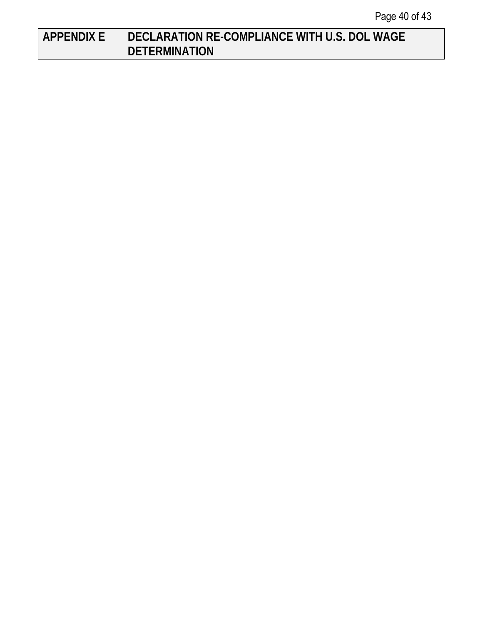# <span id="page-39-0"></span>**APPENDIX E DECLARATION RE-COMPLIANCE WITH U.S. DOL WAGE DETERMINATION**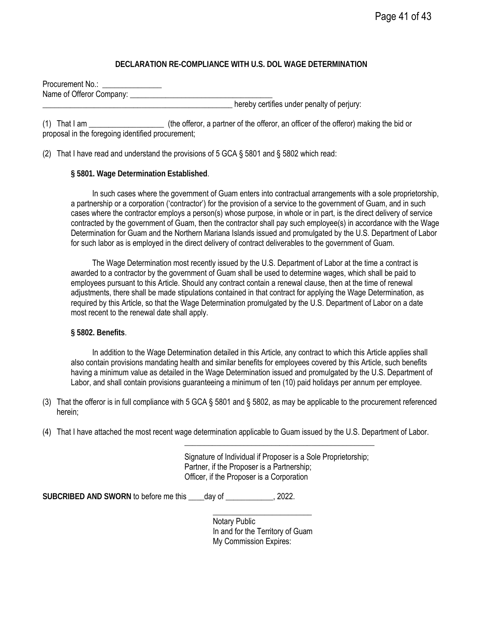#### **DECLARATION RE-COMPLIANCE WITH U.S. DOL WAGE DETERMINATION**

Procurement No.: Name of Offeror Company:

hereby certifies under penalty of perjury:

(1) That I am \_\_\_\_\_\_\_\_\_\_\_\_\_\_\_\_\_\_\_ (the offeror, a partner of the offeror, an officer of the offeror) making the bid or proposal in the foregoing identified procurement;

(2) That I have read and understand the provisions of 5 GCA § 5801 and § 5802 which read:

#### **§ 5801. Wage Determination Established**.

In such cases where the government of Guam enters into contractual arrangements with a sole proprietorship, a partnership or a corporation ('contractor') for the provision of a service to the government of Guam, and in such cases where the contractor employs a person(s) whose purpose, in whole or in part, is the direct delivery of service contracted by the government of Guam, then the contractor shall pay such employee(s) in accordance with the Wage Determination for Guam and the Northern Mariana Islands issued and promulgated by the U.S. Department of Labor for such labor as is employed in the direct delivery of contract deliverables to the government of Guam.

The Wage Determination most recently issued by the U.S. Department of Labor at the time a contract is awarded to a contractor by the government of Guam shall be used to determine wages, which shall be paid to employees pursuant to this Article. Should any contract contain a renewal clause, then at the time of renewal adjustments, there shall be made stipulations contained in that contract for applying the Wage Determination, as required by this Article, so that the Wage Determination promulgated by the U.S. Department of Labor on a date most recent to the renewal date shall apply.

#### **§ 5802. Benefits**.

In addition to the Wage Determination detailed in this Article, any contract to which this Article applies shall also contain provisions mandating health and similar benefits for employees covered by this Article, such benefits having a minimum value as detailed in the Wage Determination issued and promulgated by the U.S. Department of Labor, and shall contain provisions guaranteeing a minimum of ten (10) paid holidays per annum per employee.

- (3) That the offeror is in full compliance with 5 GCA § 5801 and § 5802, as may be applicable to the procurement referenced herein;
- (4) That I have attached the most recent wage determination applicable to Guam issued by the U.S. Department of Labor.

Signature of Individual if Proposer is a Sole Proprietorship; Partner, if the Proposer is a Partnership; Officer, if the Proposer is a Corporation

\_\_\_\_\_\_\_\_\_\_\_\_\_\_\_\_\_\_\_\_\_\_\_\_\_\_\_\_\_\_\_\_\_\_\_\_\_\_\_\_\_\_\_\_\_\_\_\_

SUBCRIBED AND SWORN to before me this day of **the substitution**, 2022.

Notary Public In and for the Territory of Guam My Commission Expires:

\_\_\_\_\_\_\_\_\_\_\_\_\_\_\_\_\_\_\_\_\_\_\_\_\_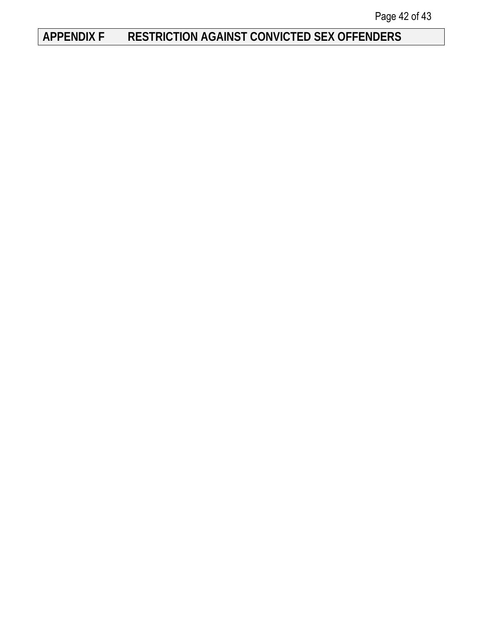# <span id="page-41-0"></span>**APPENDIX F RESTRICTION AGAINST CONVICTED SEX OFFENDERS**